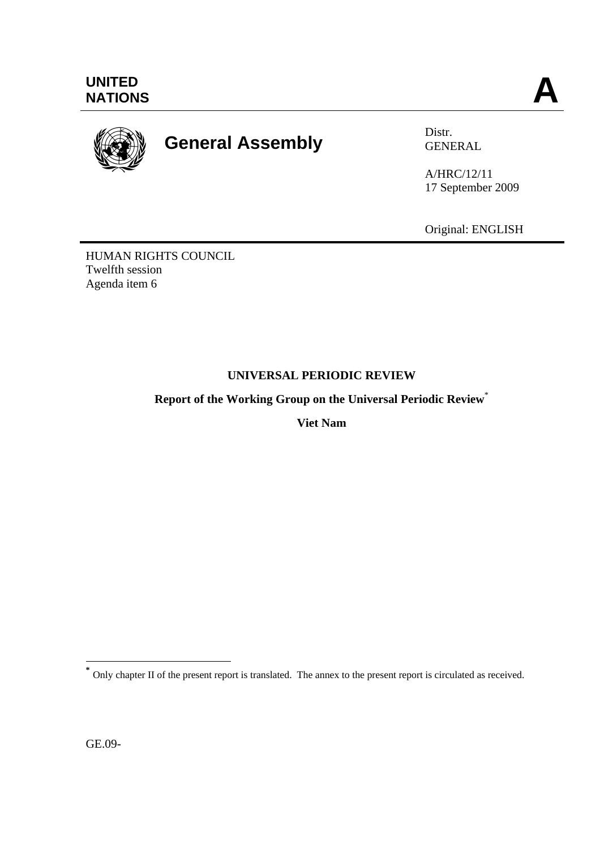

# **General Assembly** Distr.

GENERAL

A/HRC/12/11 17 September 2009

Original: ENGLISH

HUMAN RIGHTS COUNCIL Twelfth session Agenda item 6

# **UNIVERSAL PERIODIC REVIEW**

**Report of the Working Group on the Universal Periodic Review**\*

**Viet Nam** 

GE.09-

 $\overline{a}$ **\*** Only chapter II of the present report is translated. The annex to the present report is circulated as received.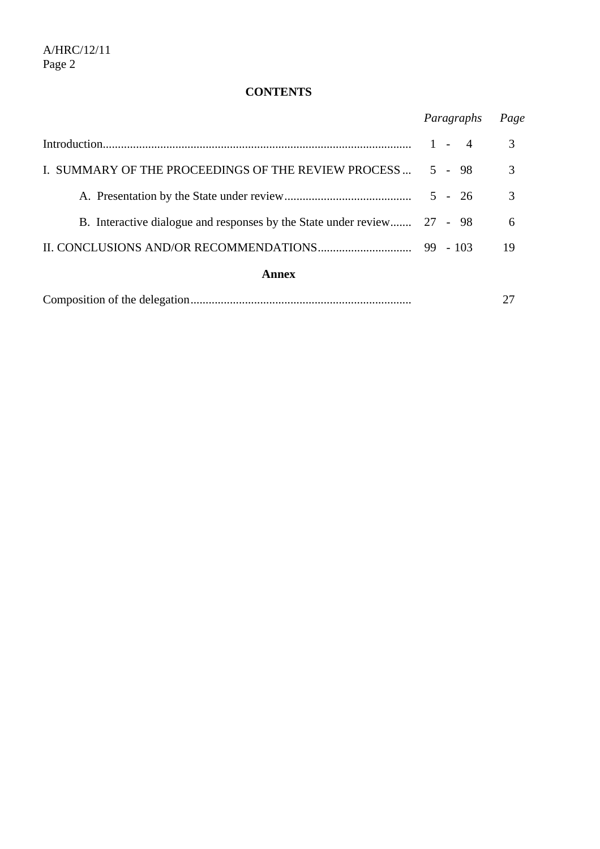# **CONTENTS**

|                                                                         | Paragraphs              | Page |
|-------------------------------------------------------------------------|-------------------------|------|
|                                                                         | $1 -$<br>$\overline{4}$ | 3    |
| I. SUMMARY OF THE PROCEEDINGS OF THE REVIEW PROCESS                     | $5 - 98$                | 3    |
|                                                                         | $5 - 26$                | 3    |
| B. Interactive dialogue and responses by the State under review 27 - 98 |                         | 6    |
|                                                                         |                         | 19   |
| Annex                                                                   |                         |      |

|--|--|--|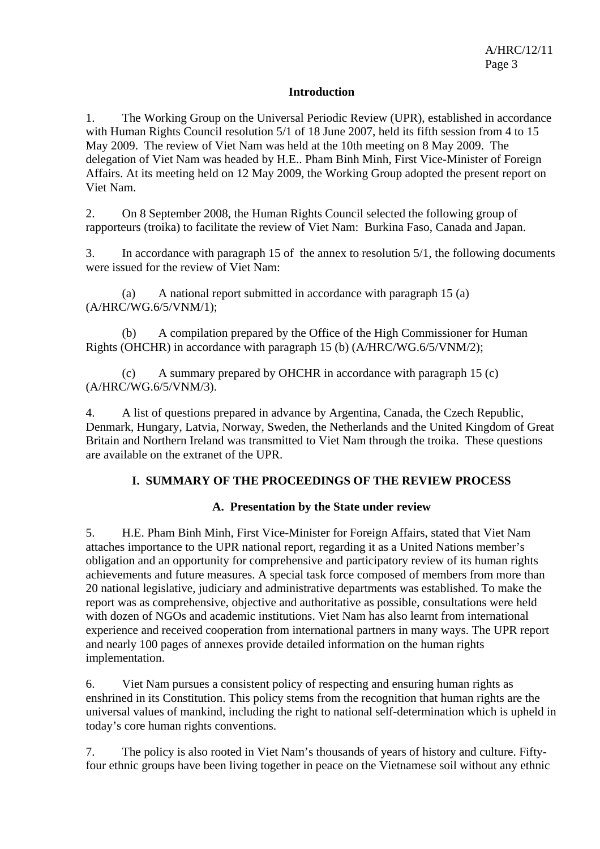## **Introduction**

1. The Working Group on the Universal Periodic Review (UPR), established in accordance with Human Rights Council resolution 5/1 of 18 June 2007, held its fifth session from 4 to 15 May 2009. The review of Viet Nam was held at the 10th meeting on 8 May 2009. The delegation of Viet Nam was headed by H.E.. Pham Binh Minh, First Vice-Minister of Foreign Affairs. At its meeting held on 12 May 2009, the Working Group adopted the present report on Viet Nam.

2. On 8 September 2008, the Human Rights Council selected the following group of rapporteurs (troika) to facilitate the review of Viet Nam: Burkina Faso, Canada and Japan.

3. In accordance with paragraph 15 of the annex to resolution 5/1, the following documents were issued for the review of Viet Nam:

 (a) A national report submitted in accordance with paragraph 15 (a) (A/HRC/WG.6/5/VNM/1);

 (b) A compilation prepared by the Office of the High Commissioner for Human Rights (OHCHR) in accordance with paragraph 15 (b) (A/HRC/WG.6/5/VNM/2);

 (c) A summary prepared by OHCHR in accordance with paragraph 15 (c) (A/HRC/WG.6/5/VNM/3).

4. A list of questions prepared in advance by Argentina, Canada, the Czech Republic, Denmark, Hungary, Latvia, Norway, Sweden, the Netherlands and the United Kingdom of Great Britain and Northern Ireland was transmitted to Viet Nam through the troika. These questions are available on the extranet of the UPR.

# **I. SUMMARY OF THE PROCEEDINGS OF THE REVIEW PROCESS**

## **A. Presentation by the State under review**

5. H.E. Pham Binh Minh, First Vice-Minister for Foreign Affairs, stated that Viet Nam attaches importance to the UPR national report, regarding it as a United Nations member's obligation and an opportunity for comprehensive and participatory review of its human rights achievements and future measures. A special task force composed of members from more than 20 national legislative, judiciary and administrative departments was established. To make the report was as comprehensive, objective and authoritative as possible, consultations were held with dozen of NGOs and academic institutions. Viet Nam has also learnt from international experience and received cooperation from international partners in many ways. The UPR report and nearly 100 pages of annexes provide detailed information on the human rights implementation.

6. Viet Nam pursues a consistent policy of respecting and ensuring human rights as enshrined in its Constitution. This policy stems from the recognition that human rights are the universal values of mankind, including the right to national self-determination which is upheld in today's core human rights conventions.

7. The policy is also rooted in Viet Nam's thousands of years of history and culture. Fiftyfour ethnic groups have been living together in peace on the Vietnamese soil without any ethnic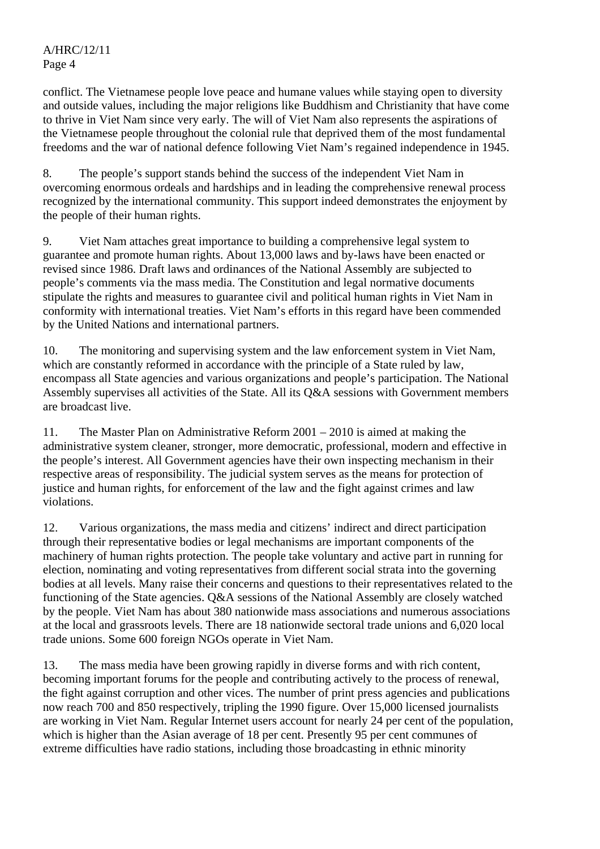conflict. The Vietnamese people love peace and humane values while staying open to diversity and outside values, including the major religions like Buddhism and Christianity that have come to thrive in Viet Nam since very early. The will of Viet Nam also represents the aspirations of the Vietnamese people throughout the colonial rule that deprived them of the most fundamental freedoms and the war of national defence following Viet Nam's regained independence in 1945.

8. The people's support stands behind the success of the independent Viet Nam in overcoming enormous ordeals and hardships and in leading the comprehensive renewal process recognized by the international community. This support indeed demonstrates the enjoyment by the people of their human rights.

9. Viet Nam attaches great importance to building a comprehensive legal system to guarantee and promote human rights. About 13,000 laws and by-laws have been enacted or revised since 1986. Draft laws and ordinances of the National Assembly are subjected to people's comments via the mass media. The Constitution and legal normative documents stipulate the rights and measures to guarantee civil and political human rights in Viet Nam in conformity with international treaties. Viet Nam's efforts in this regard have been commended by the United Nations and international partners.

10. The monitoring and supervising system and the law enforcement system in Viet Nam, which are constantly reformed in accordance with the principle of a State ruled by law, encompass all State agencies and various organizations and people's participation. The National Assembly supervises all activities of the State. All its Q&A sessions with Government members are broadcast live.

11. The Master Plan on Administrative Reform 2001 – 2010 is aimed at making the administrative system cleaner, stronger, more democratic, professional, modern and effective in the people's interest. All Government agencies have their own inspecting mechanism in their respective areas of responsibility. The judicial system serves as the means for protection of justice and human rights, for enforcement of the law and the fight against crimes and law violations.

12. Various organizations, the mass media and citizens' indirect and direct participation through their representative bodies or legal mechanisms are important components of the machinery of human rights protection. The people take voluntary and active part in running for election, nominating and voting representatives from different social strata into the governing bodies at all levels. Many raise their concerns and questions to their representatives related to the functioning of the State agencies. Q&A sessions of the National Assembly are closely watched by the people. Viet Nam has about 380 nationwide mass associations and numerous associations at the local and grassroots levels. There are 18 nationwide sectoral trade unions and 6,020 local trade unions. Some 600 foreign NGOs operate in Viet Nam.

13. The mass media have been growing rapidly in diverse forms and with rich content, becoming important forums for the people and contributing actively to the process of renewal, the fight against corruption and other vices. The number of print press agencies and publications now reach 700 and 850 respectively, tripling the 1990 figure. Over 15,000 licensed journalists are working in Viet Nam. Regular Internet users account for nearly 24 per cent of the population, which is higher than the Asian average of 18 per cent. Presently 95 per cent communes of extreme difficulties have radio stations, including those broadcasting in ethnic minority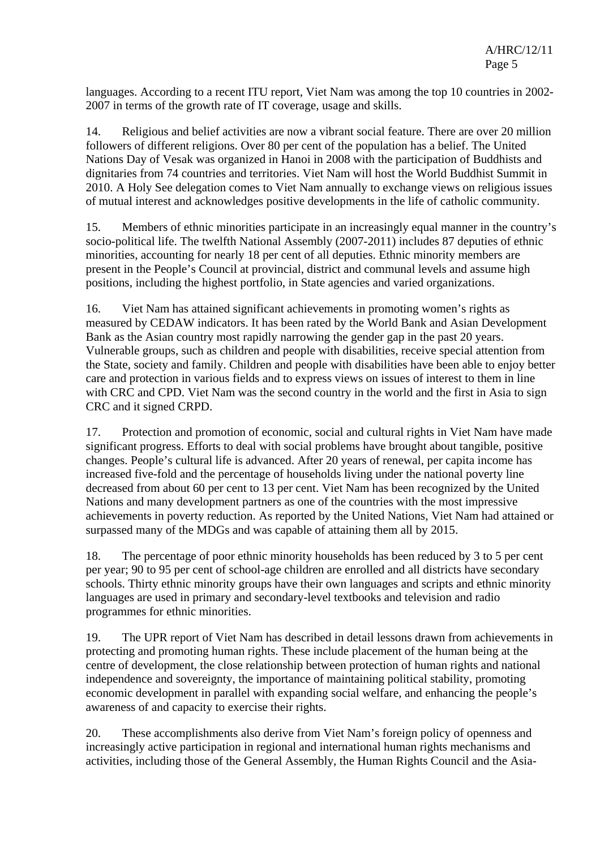languages. According to a recent ITU report, Viet Nam was among the top 10 countries in 2002- 2007 in terms of the growth rate of IT coverage, usage and skills.

14. Religious and belief activities are now a vibrant social feature. There are over 20 million followers of different religions. Over 80 per cent of the population has a belief. The United Nations Day of Vesak was organized in Hanoi in 2008 with the participation of Buddhists and dignitaries from 74 countries and territories. Viet Nam will host the World Buddhist Summit in 2010. A Holy See delegation comes to Viet Nam annually to exchange views on religious issues of mutual interest and acknowledges positive developments in the life of catholic community.

15. Members of ethnic minorities participate in an increasingly equal manner in the country's socio-political life. The twelfth National Assembly (2007-2011) includes 87 deputies of ethnic minorities, accounting for nearly 18 per cent of all deputies. Ethnic minority members are present in the People's Council at provincial, district and communal levels and assume high positions, including the highest portfolio, in State agencies and varied organizations.

16. Viet Nam has attained significant achievements in promoting women's rights as measured by CEDAW indicators. It has been rated by the World Bank and Asian Development Bank as the Asian country most rapidly narrowing the gender gap in the past 20 years. Vulnerable groups, such as children and people with disabilities, receive special attention from the State, society and family. Children and people with disabilities have been able to enjoy better care and protection in various fields and to express views on issues of interest to them in line with CRC and CPD. Viet Nam was the second country in the world and the first in Asia to sign CRC and it signed CRPD.

17. Protection and promotion of economic, social and cultural rights in Viet Nam have made significant progress. Efforts to deal with social problems have brought about tangible, positive changes. People's cultural life is advanced. After 20 years of renewal, per capita income has increased five-fold and the percentage of households living under the national poverty line decreased from about 60 per cent to 13 per cent. Viet Nam has been recognized by the United Nations and many development partners as one of the countries with the most impressive achievements in poverty reduction. As reported by the United Nations, Viet Nam had attained or surpassed many of the MDGs and was capable of attaining them all by 2015.

18. The percentage of poor ethnic minority households has been reduced by 3 to 5 per cent per year; 90 to 95 per cent of school-age children are enrolled and all districts have secondary schools. Thirty ethnic minority groups have their own languages and scripts and ethnic minority languages are used in primary and secondary-level textbooks and television and radio programmes for ethnic minorities.

19. The UPR report of Viet Nam has described in detail lessons drawn from achievements in protecting and promoting human rights. These include placement of the human being at the centre of development, the close relationship between protection of human rights and national independence and sovereignty, the importance of maintaining political stability, promoting economic development in parallel with expanding social welfare, and enhancing the people's awareness of and capacity to exercise their rights.

20. These accomplishments also derive from Viet Nam's foreign policy of openness and increasingly active participation in regional and international human rights mechanisms and activities, including those of the General Assembly, the Human Rights Council and the Asia-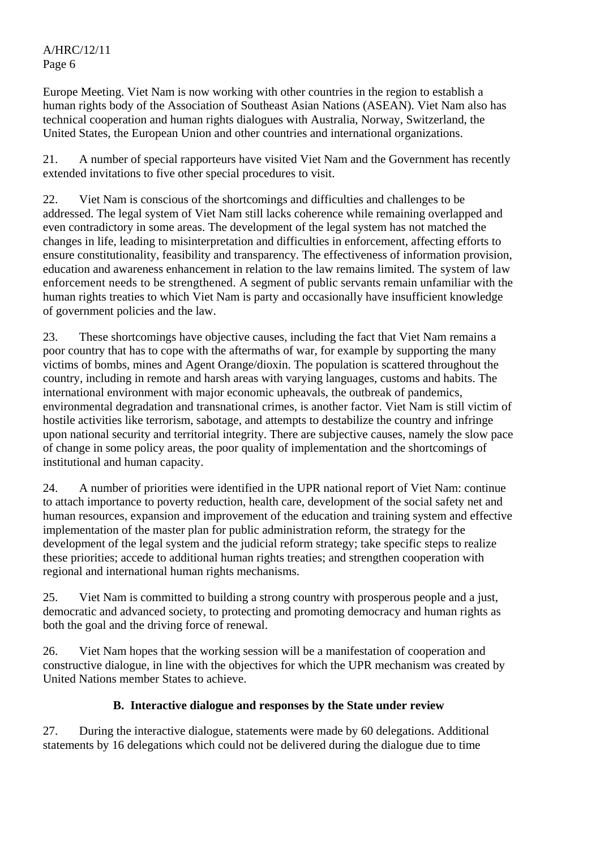Europe Meeting. Viet Nam is now working with other countries in the region to establish a human rights body of the Association of Southeast Asian Nations (ASEAN). Viet Nam also has technical cooperation and human rights dialogues with Australia, Norway, Switzerland, the United States, the European Union and other countries and international organizations.

21. A number of special rapporteurs have visited Viet Nam and the Government has recently extended invitations to five other special procedures to visit.

22. Viet Nam is conscious of the shortcomings and difficulties and challenges to be addressed. The legal system of Viet Nam still lacks coherence while remaining overlapped and even contradictory in some areas. The development of the legal system has not matched the changes in life, leading to misinterpretation and difficulties in enforcement, affecting efforts to ensure constitutionality, feasibility and transparency. The effectiveness of information provision, education and awareness enhancement in relation to the law remains limited. The system of law enforcement needs to be strengthened. A segment of public servants remain unfamiliar with the human rights treaties to which Viet Nam is party and occasionally have insufficient knowledge of government policies and the law.

23. These shortcomings have objective causes, including the fact that Viet Nam remains a poor country that has to cope with the aftermaths of war, for example by supporting the many victims of bombs, mines and Agent Orange/dioxin. The population is scattered throughout the country, including in remote and harsh areas with varying languages, customs and habits. The international environment with major economic upheavals, the outbreak of pandemics, environmental degradation and transnational crimes, is another factor. Viet Nam is still victim of hostile activities like terrorism, sabotage, and attempts to destabilize the country and infringe upon national security and territorial integrity. There are subjective causes, namely the slow pace of change in some policy areas, the poor quality of implementation and the shortcomings of institutional and human capacity.

24. A number of priorities were identified in the UPR national report of Viet Nam: continue to attach importance to poverty reduction, health care, development of the social safety net and human resources, expansion and improvement of the education and training system and effective implementation of the master plan for public administration reform, the strategy for the development of the legal system and the judicial reform strategy; take specific steps to realize these priorities; accede to additional human rights treaties; and strengthen cooperation with regional and international human rights mechanisms.

25. Viet Nam is committed to building a strong country with prosperous people and a just, democratic and advanced society, to protecting and promoting democracy and human rights as both the goal and the driving force of renewal.

26. Viet Nam hopes that the working session will be a manifestation of cooperation and constructive dialogue, in line with the objectives for which the UPR mechanism was created by United Nations member States to achieve.

# **B. Interactive dialogue and responses by the State under review**

27. During the interactive dialogue, statements were made by 60 delegations. Additional statements by 16 delegations which could not be delivered during the dialogue due to time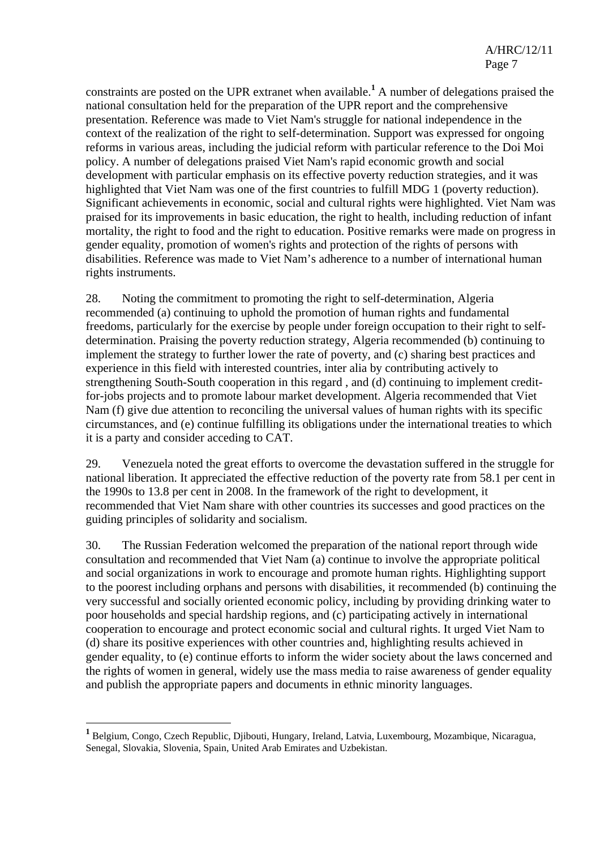constraints are posted on the UPR extranet when available.<sup>1</sup> A number of delegations praised the national consultation held for the preparation of the UPR report and the comprehensive presentation. Reference was made to Viet Nam's struggle for national independence in the context of the realization of the right to self-determination. Support was expressed for ongoing reforms in various areas, including the judicial reform with particular reference to the Doi Moi policy. A number of delegations praised Viet Nam's rapid economic growth and social development with particular emphasis on its effective poverty reduction strategies, and it was highlighted that Viet Nam was one of the first countries to fulfill MDG 1 (poverty reduction). Significant achievements in economic, social and cultural rights were highlighted. Viet Nam was praised for its improvements in basic education, the right to health, including reduction of infant mortality, the right to food and the right to education. Positive remarks were made on progress in gender equality, promotion of women's rights and protection of the rights of persons with disabilities. Reference was made to Viet Nam's adherence to a number of international human rights instruments.

28. Noting the commitment to promoting the right to self-determination, Algeria recommended (a) continuing to uphold the promotion of human rights and fundamental freedoms, particularly for the exercise by people under foreign occupation to their right to selfdetermination. Praising the poverty reduction strategy, Algeria recommended (b) continuing to implement the strategy to further lower the rate of poverty, and (c) sharing best practices and experience in this field with interested countries, inter alia by contributing actively to strengthening South-South cooperation in this regard , and (d) continuing to implement creditfor-jobs projects and to promote labour market development. Algeria recommended that Viet Nam (f) give due attention to reconciling the universal values of human rights with its specific circumstances, and (e) continue fulfilling its obligations under the international treaties to which it is a party and consider acceding to CAT.

29. Venezuela noted the great efforts to overcome the devastation suffered in the struggle for national liberation. It appreciated the effective reduction of the poverty rate from 58.1 per cent in the 1990s to 13.8 per cent in 2008. In the framework of the right to development, it recommended that Viet Nam share with other countries its successes and good practices on the guiding principles of solidarity and socialism.

30. The Russian Federation welcomed the preparation of the national report through wide consultation and recommended that Viet Nam (a) continue to involve the appropriate political and social organizations in work to encourage and promote human rights. Highlighting support to the poorest including orphans and persons with disabilities, it recommended (b) continuing the very successful and socially oriented economic policy, including by providing drinking water to poor households and special hardship regions, and (c) participating actively in international cooperation to encourage and protect economic social and cultural rights. It urged Viet Nam to (d) share its positive experiences with other countries and, highlighting results achieved in gender equality, to (e) continue efforts to inform the wider society about the laws concerned and the rights of women in general, widely use the mass media to raise awareness of gender equality and publish the appropriate papers and documents in ethnic minority languages.

 $\overline{a}$ 

**<sup>1</sup>** Belgium, Congo, Czech Republic, Djibouti, Hungary, Ireland, Latvia, Luxembourg, Mozambique, Nicaragua, Senegal, Slovakia, Slovenia, Spain, United Arab Emirates and Uzbekistan.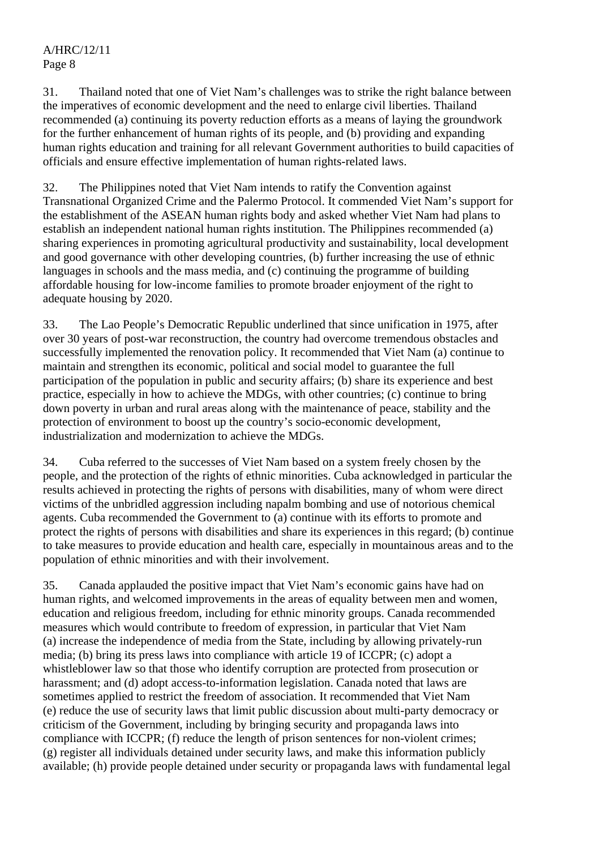31. Thailand noted that one of Viet Nam's challenges was to strike the right balance between the imperatives of economic development and the need to enlarge civil liberties. Thailand recommended (a) continuing its poverty reduction efforts as a means of laying the groundwork for the further enhancement of human rights of its people, and (b) providing and expanding human rights education and training for all relevant Government authorities to build capacities of officials and ensure effective implementation of human rights-related laws.

32. The Philippines noted that Viet Nam intends to ratify the Convention against Transnational Organized Crime and the Palermo Protocol. It commended Viet Nam's support for the establishment of the ASEAN human rights body and asked whether Viet Nam had plans to establish an independent national human rights institution. The Philippines recommended (a) sharing experiences in promoting agricultural productivity and sustainability, local development and good governance with other developing countries, (b) further increasing the use of ethnic languages in schools and the mass media, and (c) continuing the programme of building affordable housing for low-income families to promote broader enjoyment of the right to adequate housing by 2020.

33. The Lao People's Democratic Republic underlined that since unification in 1975, after over 30 years of post-war reconstruction, the country had overcome tremendous obstacles and successfully implemented the renovation policy. It recommended that Viet Nam (a) continue to maintain and strengthen its economic, political and social model to guarantee the full participation of the population in public and security affairs; (b) share its experience and best practice, especially in how to achieve the MDGs, with other countries; (c) continue to bring down poverty in urban and rural areas along with the maintenance of peace, stability and the protection of environment to boost up the country's socio-economic development, industrialization and modernization to achieve the MDGs.

34. Cuba referred to the successes of Viet Nam based on a system freely chosen by the people, and the protection of the rights of ethnic minorities. Cuba acknowledged in particular the results achieved in protecting the rights of persons with disabilities, many of whom were direct victims of the unbridled aggression including napalm bombing and use of notorious chemical agents. Cuba recommended the Government to (a) continue with its efforts to promote and protect the rights of persons with disabilities and share its experiences in this regard; (b) continue to take measures to provide education and health care, especially in mountainous areas and to the population of ethnic minorities and with their involvement.

35. Canada applauded the positive impact that Viet Nam's economic gains have had on human rights, and welcomed improvements in the areas of equality between men and women, education and religious freedom, including for ethnic minority groups. Canada recommended measures which would contribute to freedom of expression, in particular that Viet Nam (a) increase the independence of media from the State, including by allowing privately-run media; (b) bring its press laws into compliance with article 19 of ICCPR; (c) adopt a whistleblower law so that those who identify corruption are protected from prosecution or harassment; and (d) adopt access-to-information legislation. Canada noted that laws are sometimes applied to restrict the freedom of association. It recommended that Viet Nam (e) reduce the use of security laws that limit public discussion about multi-party democracy or criticism of the Government, including by bringing security and propaganda laws into compliance with ICCPR; (f) reduce the length of prison sentences for non-violent crimes; (g) register all individuals detained under security laws, and make this information publicly available; (h) provide people detained under security or propaganda laws with fundamental legal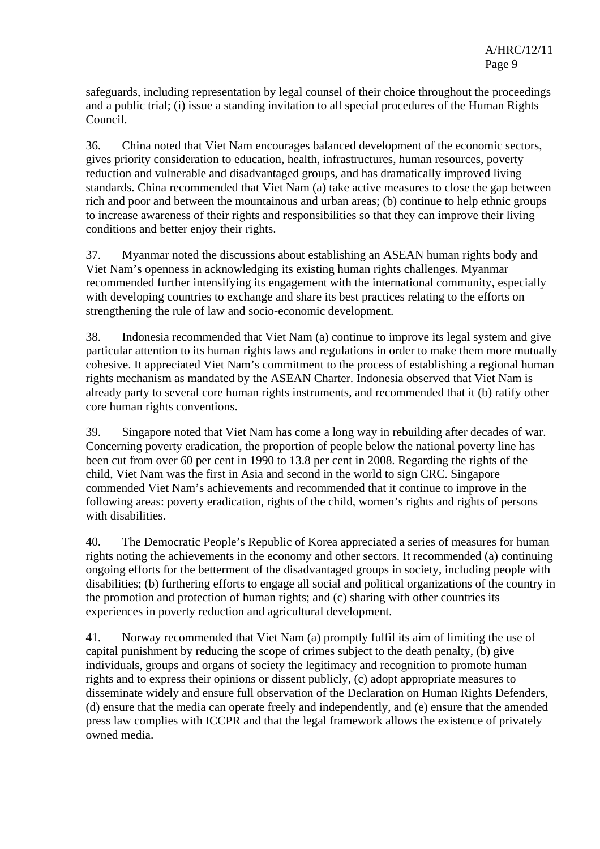safeguards, including representation by legal counsel of their choice throughout the proceedings and a public trial; (i) issue a standing invitation to all special procedures of the Human Rights Council.

36. China noted that Viet Nam encourages balanced development of the economic sectors, gives priority consideration to education, health, infrastructures, human resources, poverty reduction and vulnerable and disadvantaged groups, and has dramatically improved living standards. China recommended that Viet Nam (a) take active measures to close the gap between rich and poor and between the mountainous and urban areas; (b) continue to help ethnic groups to increase awareness of their rights and responsibilities so that they can improve their living conditions and better enjoy their rights.

37. Myanmar noted the discussions about establishing an ASEAN human rights body and Viet Nam's openness in acknowledging its existing human rights challenges. Myanmar recommended further intensifying its engagement with the international community, especially with developing countries to exchange and share its best practices relating to the efforts on strengthening the rule of law and socio-economic development.

38. Indonesia recommended that Viet Nam (a) continue to improve its legal system and give particular attention to its human rights laws and regulations in order to make them more mutually cohesive. It appreciated Viet Nam's commitment to the process of establishing a regional human rights mechanism as mandated by the ASEAN Charter. Indonesia observed that Viet Nam is already party to several core human rights instruments, and recommended that it (b) ratify other core human rights conventions.

39. Singapore noted that Viet Nam has come a long way in rebuilding after decades of war. Concerning poverty eradication, the proportion of people below the national poverty line has been cut from over 60 per cent in 1990 to 13.8 per cent in 2008. Regarding the rights of the child, Viet Nam was the first in Asia and second in the world to sign CRC. Singapore commended Viet Nam's achievements and recommended that it continue to improve in the following areas: poverty eradication, rights of the child, women's rights and rights of persons with disabilities.

40. The Democratic People's Republic of Korea appreciated a series of measures for human rights noting the achievements in the economy and other sectors. It recommended (a) continuing ongoing efforts for the betterment of the disadvantaged groups in society, including people with disabilities; (b) furthering efforts to engage all social and political organizations of the country in the promotion and protection of human rights; and (c) sharing with other countries its experiences in poverty reduction and agricultural development.

41. Norway recommended that Viet Nam (a) promptly fulfil its aim of limiting the use of capital punishment by reducing the scope of crimes subject to the death penalty, (b) give individuals, groups and organs of society the legitimacy and recognition to promote human rights and to express their opinions or dissent publicly, (c) adopt appropriate measures to disseminate widely and ensure full observation of the Declaration on Human Rights Defenders, (d) ensure that the media can operate freely and independently, and (e) ensure that the amended press law complies with ICCPR and that the legal framework allows the existence of privately owned media.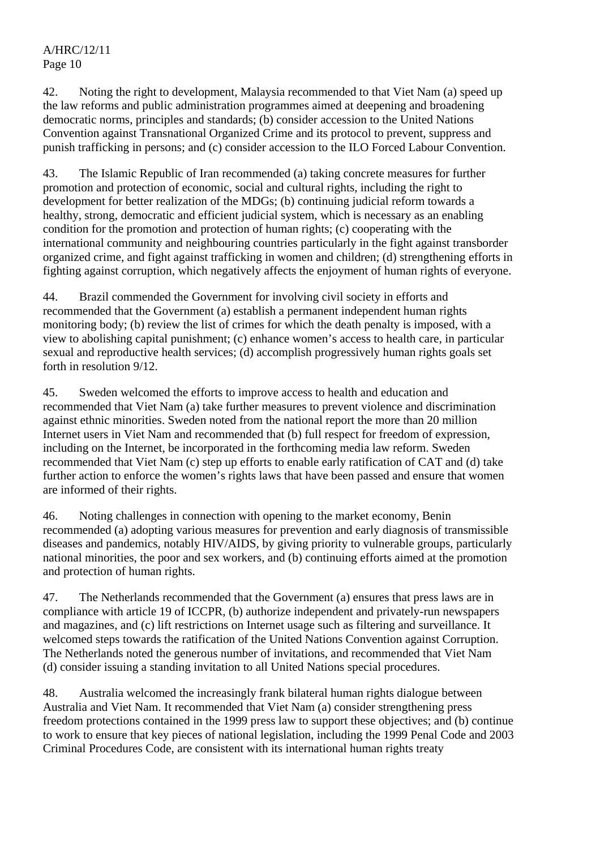42. Noting the right to development, Malaysia recommended to that Viet Nam (a) speed up the law reforms and public administration programmes aimed at deepening and broadening democratic norms, principles and standards; (b) consider accession to the United Nations Convention against Transnational Organized Crime and its protocol to prevent, suppress and punish trafficking in persons; and (c) consider accession to the ILO Forced Labour Convention.

43. The Islamic Republic of Iran recommended (a) taking concrete measures for further promotion and protection of economic, social and cultural rights, including the right to development for better realization of the MDGs; (b) continuing judicial reform towards a healthy, strong, democratic and efficient judicial system, which is necessary as an enabling condition for the promotion and protection of human rights; (c) cooperating with the international community and neighbouring countries particularly in the fight against transborder organized crime, and fight against trafficking in women and children; (d) strengthening efforts in fighting against corruption, which negatively affects the enjoyment of human rights of everyone.

44. Brazil commended the Government for involving civil society in efforts and recommended that the Government (a) establish a permanent independent human rights monitoring body; (b) review the list of crimes for which the death penalty is imposed, with a view to abolishing capital punishment; (c) enhance women's access to health care, in particular sexual and reproductive health services; (d) accomplish progressively human rights goals set forth in resolution 9/12.

45. Sweden welcomed the efforts to improve access to health and education and recommended that Viet Nam (a) take further measures to prevent violence and discrimination against ethnic minorities. Sweden noted from the national report the more than 20 million Internet users in Viet Nam and recommended that (b) full respect for freedom of expression, including on the Internet, be incorporated in the forthcoming media law reform. Sweden recommended that Viet Nam (c) step up efforts to enable early ratification of CAT and (d) take further action to enforce the women's rights laws that have been passed and ensure that women are informed of their rights.

46. Noting challenges in connection with opening to the market economy, Benin recommended (a) adopting various measures for prevention and early diagnosis of transmissible diseases and pandemics, notably HIV/AIDS, by giving priority to vulnerable groups, particularly national minorities, the poor and sex workers, and (b) continuing efforts aimed at the promotion and protection of human rights.

47. The Netherlands recommended that the Government (a) ensures that press laws are in compliance with article 19 of ICCPR, (b) authorize independent and privately-run newspapers and magazines, and (c) lift restrictions on Internet usage such as filtering and surveillance. It welcomed steps towards the ratification of the United Nations Convention against Corruption. The Netherlands noted the generous number of invitations, and recommended that Viet Nam (d) consider issuing a standing invitation to all United Nations special procedures.

48. Australia welcomed the increasingly frank bilateral human rights dialogue between Australia and Viet Nam. It recommended that Viet Nam (a) consider strengthening press freedom protections contained in the 1999 press law to support these objectives; and (b) continue to work to ensure that key pieces of national legislation, including the 1999 Penal Code and 2003 Criminal Procedures Code, are consistent with its international human rights treaty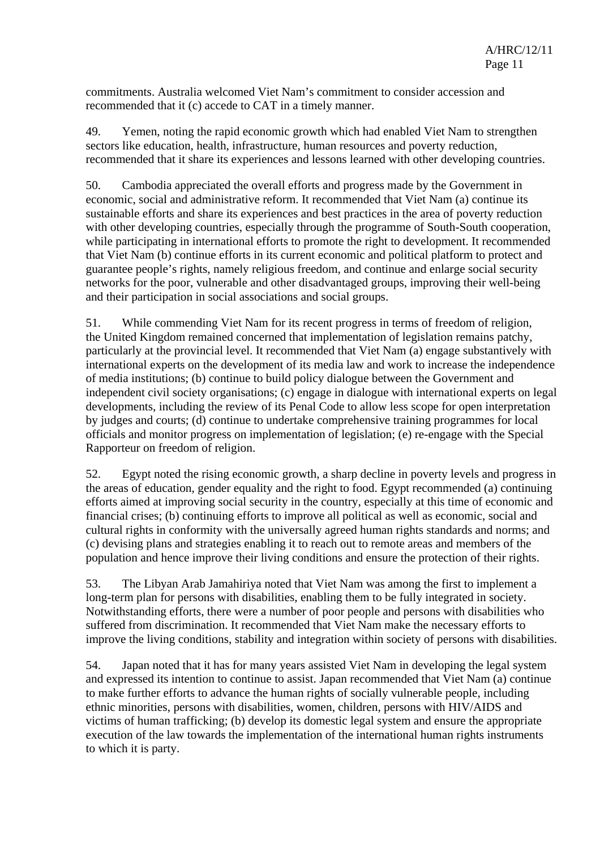commitments. Australia welcomed Viet Nam's commitment to consider accession and recommended that it (c) accede to CAT in a timely manner.

49. Yemen, noting the rapid economic growth which had enabled Viet Nam to strengthen sectors like education, health, infrastructure, human resources and poverty reduction, recommended that it share its experiences and lessons learned with other developing countries.

50. Cambodia appreciated the overall efforts and progress made by the Government in economic, social and administrative reform. It recommended that Viet Nam (a) continue its sustainable efforts and share its experiences and best practices in the area of poverty reduction with other developing countries, especially through the programme of South-South cooperation, while participating in international efforts to promote the right to development. It recommended that Viet Nam (b) continue efforts in its current economic and political platform to protect and guarantee people's rights, namely religious freedom, and continue and enlarge social security networks for the poor, vulnerable and other disadvantaged groups, improving their well-being and their participation in social associations and social groups.

51. While commending Viet Nam for its recent progress in terms of freedom of religion, the United Kingdom remained concerned that implementation of legislation remains patchy, particularly at the provincial level. It recommended that Viet Nam (a) engage substantively with international experts on the development of its media law and work to increase the independence of media institutions; (b) continue to build policy dialogue between the Government and independent civil society organisations; (c) engage in dialogue with international experts on legal developments, including the review of its Penal Code to allow less scope for open interpretation by judges and courts; (d) continue to undertake comprehensive training programmes for local officials and monitor progress on implementation of legislation; (e) re-engage with the Special Rapporteur on freedom of religion.

52. Egypt noted the rising economic growth, a sharp decline in poverty levels and progress in the areas of education, gender equality and the right to food. Egypt recommended (a) continuing efforts aimed at improving social security in the country, especially at this time of economic and financial crises; (b) continuing efforts to improve all political as well as economic, social and cultural rights in conformity with the universally agreed human rights standards and norms; and (c) devising plans and strategies enabling it to reach out to remote areas and members of the population and hence improve their living conditions and ensure the protection of their rights.

53. The Libyan Arab Jamahiriya noted that Viet Nam was among the first to implement a long-term plan for persons with disabilities, enabling them to be fully integrated in society. Notwithstanding efforts, there were a number of poor people and persons with disabilities who suffered from discrimination. It recommended that Viet Nam make the necessary efforts to improve the living conditions, stability and integration within society of persons with disabilities.

54. Japan noted that it has for many years assisted Viet Nam in developing the legal system and expressed its intention to continue to assist. Japan recommended that Viet Nam (a) continue to make further efforts to advance the human rights of socially vulnerable people, including ethnic minorities, persons with disabilities, women, children, persons with HIV/AIDS and victims of human trafficking; (b) develop its domestic legal system and ensure the appropriate execution of the law towards the implementation of the international human rights instruments to which it is party.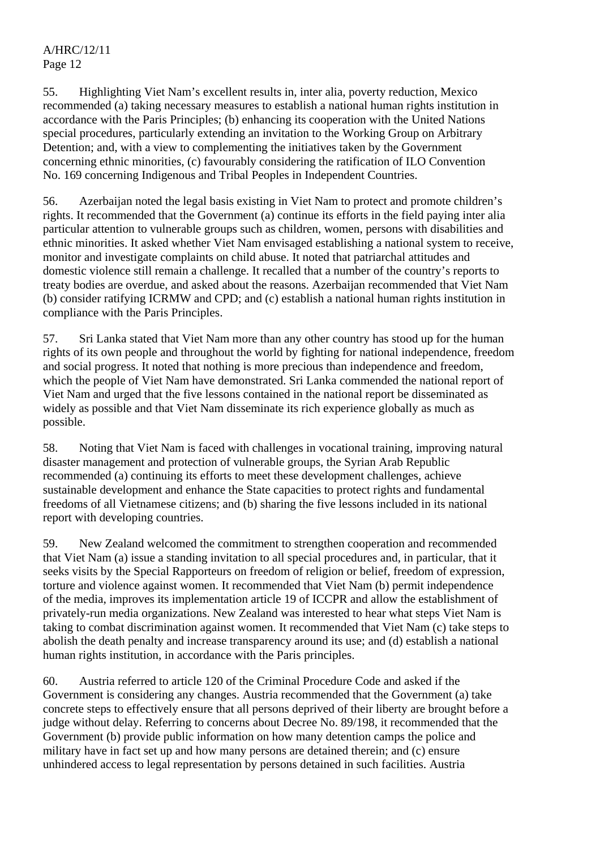55. Highlighting Viet Nam's excellent results in, inter alia, poverty reduction, Mexico recommended (a) taking necessary measures to establish a national human rights institution in accordance with the Paris Principles; (b) enhancing its cooperation with the United Nations special procedures, particularly extending an invitation to the Working Group on Arbitrary Detention; and, with a view to complementing the initiatives taken by the Government concerning ethnic minorities, (c) favourably considering the ratification of ILO Convention No. 169 concerning Indigenous and Tribal Peoples in Independent Countries.

56. Azerbaijan noted the legal basis existing in Viet Nam to protect and promote children's rights. It recommended that the Government (a) continue its efforts in the field paying inter alia particular attention to vulnerable groups such as children, women, persons with disabilities and ethnic minorities. It asked whether Viet Nam envisaged establishing a national system to receive, monitor and investigate complaints on child abuse. It noted that patriarchal attitudes and domestic violence still remain a challenge. It recalled that a number of the country's reports to treaty bodies are overdue, and asked about the reasons. Azerbaijan recommended that Viet Nam (b) consider ratifying ICRMW and CPD; and (c) establish a national human rights institution in compliance with the Paris Principles.

57. Sri Lanka stated that Viet Nam more than any other country has stood up for the human rights of its own people and throughout the world by fighting for national independence, freedom and social progress. It noted that nothing is more precious than independence and freedom, which the people of Viet Nam have demonstrated. Sri Lanka commended the national report of Viet Nam and urged that the five lessons contained in the national report be disseminated as widely as possible and that Viet Nam disseminate its rich experience globally as much as possible.

58. Noting that Viet Nam is faced with challenges in vocational training, improving natural disaster management and protection of vulnerable groups, the Syrian Arab Republic recommended (a) continuing its efforts to meet these development challenges, achieve sustainable development and enhance the State capacities to protect rights and fundamental freedoms of all Vietnamese citizens; and (b) sharing the five lessons included in its national report with developing countries.

59. New Zealand welcomed the commitment to strengthen cooperation and recommended that Viet Nam (a) issue a standing invitation to all special procedures and, in particular, that it seeks visits by the Special Rapporteurs on freedom of religion or belief, freedom of expression, torture and violence against women. It recommended that Viet Nam (b) permit independence of the media, improves its implementation article 19 of ICCPR and allow the establishment of privately-run media organizations. New Zealand was interested to hear what steps Viet Nam is taking to combat discrimination against women. It recommended that Viet Nam (c) take steps to abolish the death penalty and increase transparency around its use; and (d) establish a national human rights institution, in accordance with the Paris principles.

60. Austria referred to article 120 of the Criminal Procedure Code and asked if the Government is considering any changes. Austria recommended that the Government (a) take concrete steps to effectively ensure that all persons deprived of their liberty are brought before a judge without delay. Referring to concerns about Decree No. 89/198, it recommended that the Government (b) provide public information on how many detention camps the police and military have in fact set up and how many persons are detained therein; and (c) ensure unhindered access to legal representation by persons detained in such facilities. Austria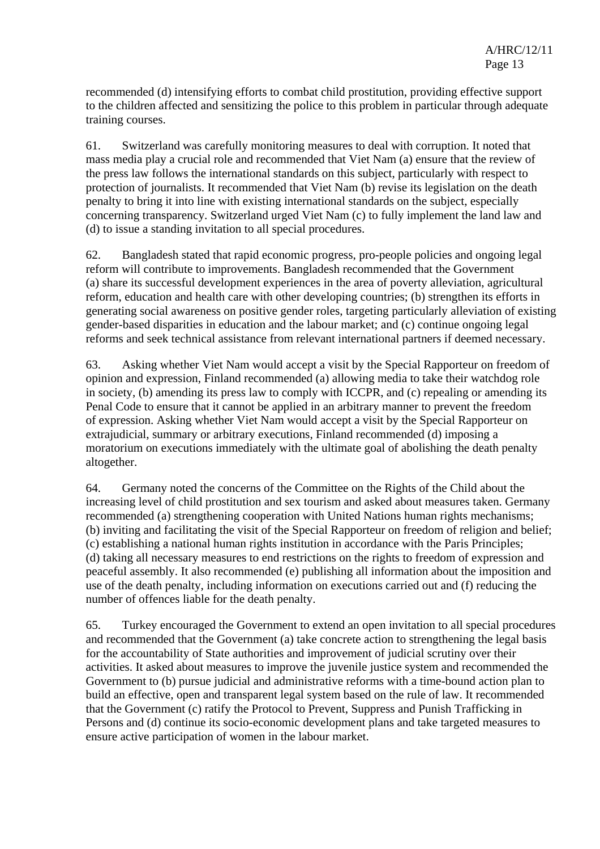recommended (d) intensifying efforts to combat child prostitution, providing effective support to the children affected and sensitizing the police to this problem in particular through adequate training courses.

61. Switzerland was carefully monitoring measures to deal with corruption. It noted that mass media play a crucial role and recommended that Viet Nam (a) ensure that the review of the press law follows the international standards on this subject, particularly with respect to protection of journalists. It recommended that Viet Nam (b) revise its legislation on the death penalty to bring it into line with existing international standards on the subject, especially concerning transparency. Switzerland urged Viet Nam (c) to fully implement the land law and (d) to issue a standing invitation to all special procedures.

62. Bangladesh stated that rapid economic progress, pro-people policies and ongoing legal reform will contribute to improvements. Bangladesh recommended that the Government (a) share its successful development experiences in the area of poverty alleviation, agricultural reform, education and health care with other developing countries; (b) strengthen its efforts in generating social awareness on positive gender roles, targeting particularly alleviation of existing gender-based disparities in education and the labour market; and (c) continue ongoing legal reforms and seek technical assistance from relevant international partners if deemed necessary.

63. Asking whether Viet Nam would accept a visit by the Special Rapporteur on freedom of opinion and expression, Finland recommended (a) allowing media to take their watchdog role in society, (b) amending its press law to comply with ICCPR, and (c) repealing or amending its Penal Code to ensure that it cannot be applied in an arbitrary manner to prevent the freedom of expression. Asking whether Viet Nam would accept a visit by the Special Rapporteur on extrajudicial, summary or arbitrary executions, Finland recommended (d) imposing a moratorium on executions immediately with the ultimate goal of abolishing the death penalty altogether.

64. Germany noted the concerns of the Committee on the Rights of the Child about the increasing level of child prostitution and sex tourism and asked about measures taken. Germany recommended (a) strengthening cooperation with United Nations human rights mechanisms; (b) inviting and facilitating the visit of the Special Rapporteur on freedom of religion and belief; (c) establishing a national human rights institution in accordance with the Paris Principles; (d) taking all necessary measures to end restrictions on the rights to freedom of expression and peaceful assembly. It also recommended (e) publishing all information about the imposition and use of the death penalty, including information on executions carried out and (f) reducing the number of offences liable for the death penalty.

65. Turkey encouraged the Government to extend an open invitation to all special procedures and recommended that the Government (a) take concrete action to strengthening the legal basis for the accountability of State authorities and improvement of judicial scrutiny over their activities. It asked about measures to improve the juvenile justice system and recommended the Government to (b) pursue judicial and administrative reforms with a time-bound action plan to build an effective, open and transparent legal system based on the rule of law. It recommended that the Government (c) ratify the Protocol to Prevent, Suppress and Punish Trafficking in Persons and (d) continue its socio-economic development plans and take targeted measures to ensure active participation of women in the labour market.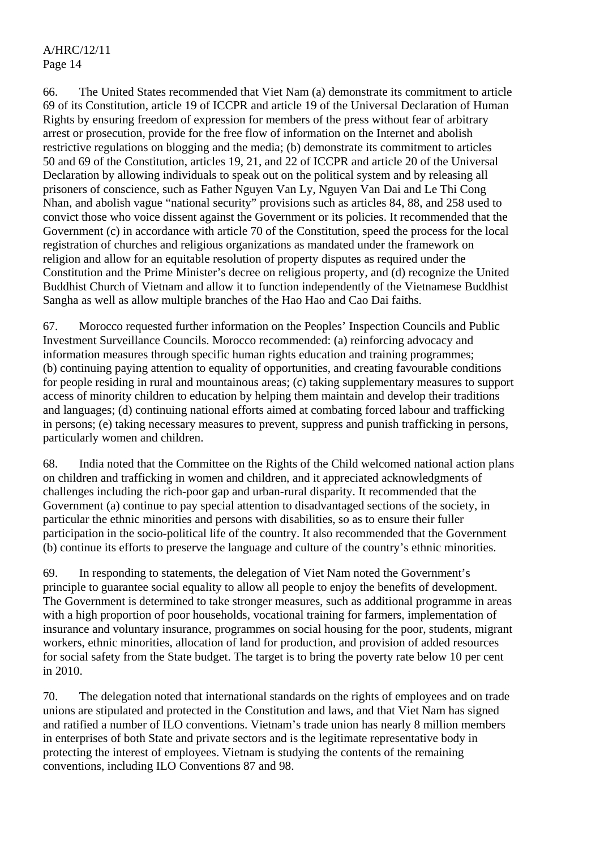66. The United States recommended that Viet Nam (a) demonstrate its commitment to article 69 of its Constitution, article 19 of ICCPR and article 19 of the Universal Declaration of Human Rights by ensuring freedom of expression for members of the press without fear of arbitrary arrest or prosecution, provide for the free flow of information on the Internet and abolish restrictive regulations on blogging and the media; (b) demonstrate its commitment to articles 50 and 69 of the Constitution, articles 19, 21, and 22 of ICCPR and article 20 of the Universal Declaration by allowing individuals to speak out on the political system and by releasing all prisoners of conscience, such as Father Nguyen Van Ly, Nguyen Van Dai and Le Thi Cong Nhan, and abolish vague "national security" provisions such as articles 84, 88, and 258 used to convict those who voice dissent against the Government or its policies. It recommended that the Government (c) in accordance with article 70 of the Constitution, speed the process for the local registration of churches and religious organizations as mandated under the framework on religion and allow for an equitable resolution of property disputes as required under the Constitution and the Prime Minister's decree on religious property, and (d) recognize the United Buddhist Church of Vietnam and allow it to function independently of the Vietnamese Buddhist Sangha as well as allow multiple branches of the Hao Hao and Cao Dai faiths.

67. Morocco requested further information on the Peoples' Inspection Councils and Public Investment Surveillance Councils. Morocco recommended: (a) reinforcing advocacy and information measures through specific human rights education and training programmes; (b) continuing paying attention to equality of opportunities, and creating favourable conditions for people residing in rural and mountainous areas; (c) taking supplementary measures to support access of minority children to education by helping them maintain and develop their traditions and languages; (d) continuing national efforts aimed at combating forced labour and trafficking in persons; (e) taking necessary measures to prevent, suppress and punish trafficking in persons, particularly women and children.

68. India noted that the Committee on the Rights of the Child welcomed national action plans on children and trafficking in women and children, and it appreciated acknowledgments of challenges including the rich-poor gap and urban-rural disparity. It recommended that the Government (a) continue to pay special attention to disadvantaged sections of the society, in particular the ethnic minorities and persons with disabilities, so as to ensure their fuller participation in the socio-political life of the country. It also recommended that the Government (b) continue its efforts to preserve the language and culture of the country's ethnic minorities.

69. In responding to statements, the delegation of Viet Nam noted the Government's principle to guarantee social equality to allow all people to enjoy the benefits of development. The Government is determined to take stronger measures, such as additional programme in areas with a high proportion of poor households, vocational training for farmers, implementation of insurance and voluntary insurance, programmes on social housing for the poor, students, migrant workers, ethnic minorities, allocation of land for production, and provision of added resources for social safety from the State budget. The target is to bring the poverty rate below 10 per cent in 2010.

70. The delegation noted that international standards on the rights of employees and on trade unions are stipulated and protected in the Constitution and laws, and that Viet Nam has signed and ratified a number of ILO conventions. Vietnam's trade union has nearly 8 million members in enterprises of both State and private sectors and is the legitimate representative body in protecting the interest of employees. Vietnam is studying the contents of the remaining conventions, including ILO Conventions 87 and 98.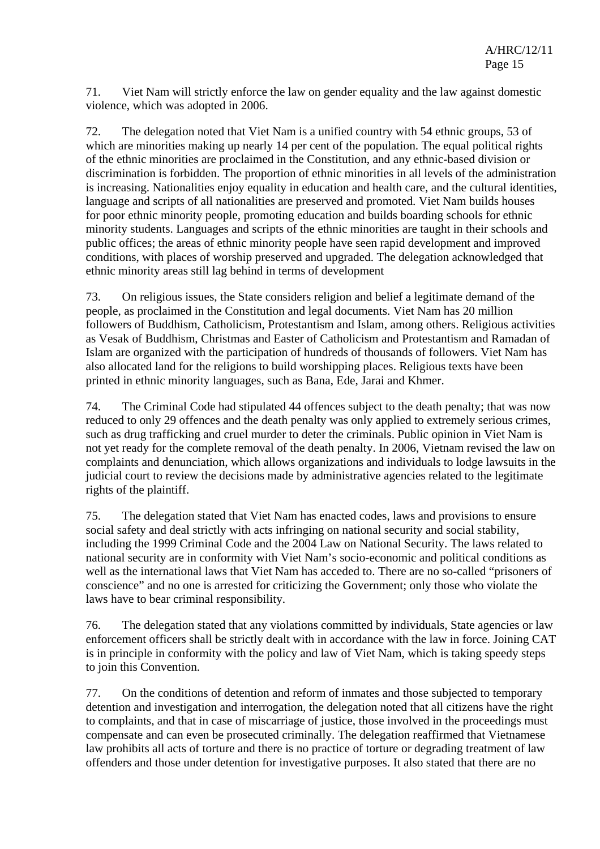71. Viet Nam will strictly enforce the law on gender equality and the law against domestic violence, which was adopted in 2006.

72. The delegation noted that Viet Nam is a unified country with 54 ethnic groups, 53 of which are minorities making up nearly 14 per cent of the population. The equal political rights of the ethnic minorities are proclaimed in the Constitution, and any ethnic-based division or discrimination is forbidden. The proportion of ethnic minorities in all levels of the administration is increasing. Nationalities enjoy equality in education and health care, and the cultural identities, language and scripts of all nationalities are preserved and promoted. Viet Nam builds houses for poor ethnic minority people, promoting education and builds boarding schools for ethnic minority students. Languages and scripts of the ethnic minorities are taught in their schools and public offices; the areas of ethnic minority people have seen rapid development and improved conditions, with places of worship preserved and upgraded. The delegation acknowledged that ethnic minority areas still lag behind in terms of development

73. On religious issues, the State considers religion and belief a legitimate demand of the people, as proclaimed in the Constitution and legal documents. Viet Nam has 20 million followers of Buddhism, Catholicism, Protestantism and Islam, among others. Religious activities as Vesak of Buddhism, Christmas and Easter of Catholicism and Protestantism and Ramadan of Islam are organized with the participation of hundreds of thousands of followers. Viet Nam has also allocated land for the religions to build worshipping places. Religious texts have been printed in ethnic minority languages, such as Bana, Ede, Jarai and Khmer.

74. The Criminal Code had stipulated 44 offences subject to the death penalty; that was now reduced to only 29 offences and the death penalty was only applied to extremely serious crimes, such as drug trafficking and cruel murder to deter the criminals. Public opinion in Viet Nam is not yet ready for the complete removal of the death penalty. In 2006, Vietnam revised the law on complaints and denunciation, which allows organizations and individuals to lodge lawsuits in the judicial court to review the decisions made by administrative agencies related to the legitimate rights of the plaintiff.

75. The delegation stated that Viet Nam has enacted codes, laws and provisions to ensure social safety and deal strictly with acts infringing on national security and social stability, including the 1999 Criminal Code and the 2004 Law on National Security. The laws related to national security are in conformity with Viet Nam's socio-economic and political conditions as well as the international laws that Viet Nam has acceded to. There are no so-called "prisoners of conscience" and no one is arrested for criticizing the Government; only those who violate the laws have to bear criminal responsibility.

76. The delegation stated that any violations committed by individuals, State agencies or law enforcement officers shall be strictly dealt with in accordance with the law in force. Joining CAT is in principle in conformity with the policy and law of Viet Nam, which is taking speedy steps to join this Convention.

77. On the conditions of detention and reform of inmates and those subjected to temporary detention and investigation and interrogation, the delegation noted that all citizens have the right to complaints, and that in case of miscarriage of justice, those involved in the proceedings must compensate and can even be prosecuted criminally. The delegation reaffirmed that Vietnamese law prohibits all acts of torture and there is no practice of torture or degrading treatment of law offenders and those under detention for investigative purposes. It also stated that there are no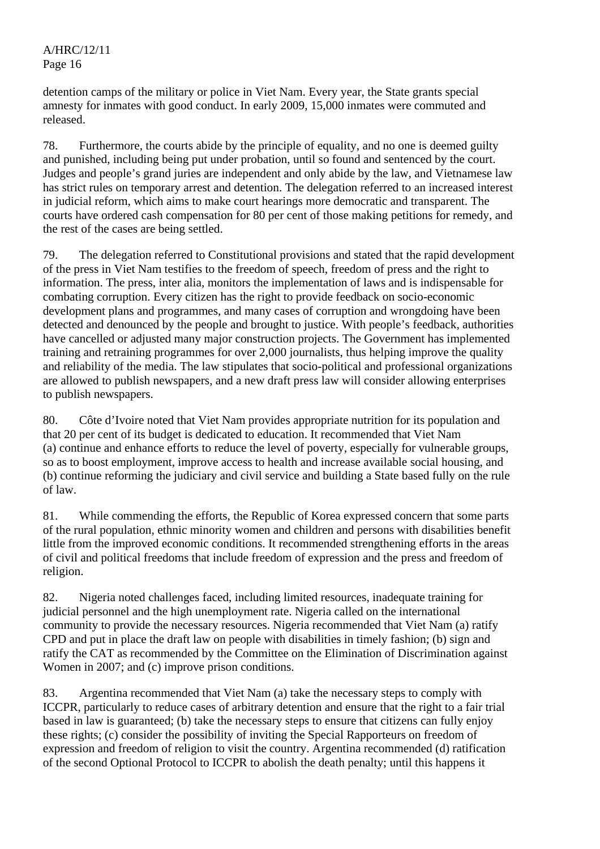detention camps of the military or police in Viet Nam. Every year, the State grants special amnesty for inmates with good conduct. In early 2009, 15,000 inmates were commuted and released.

78. Furthermore, the courts abide by the principle of equality, and no one is deemed guilty and punished, including being put under probation, until so found and sentenced by the court. Judges and people's grand juries are independent and only abide by the law, and Vietnamese law has strict rules on temporary arrest and detention. The delegation referred to an increased interest in judicial reform, which aims to make court hearings more democratic and transparent. The courts have ordered cash compensation for 80 per cent of those making petitions for remedy, and the rest of the cases are being settled.

79. The delegation referred to Constitutional provisions and stated that the rapid development of the press in Viet Nam testifies to the freedom of speech, freedom of press and the right to information. The press, inter alia, monitors the implementation of laws and is indispensable for combating corruption. Every citizen has the right to provide feedback on socio-economic development plans and programmes, and many cases of corruption and wrongdoing have been detected and denounced by the people and brought to justice. With people's feedback, authorities have cancelled or adjusted many major construction projects. The Government has implemented training and retraining programmes for over 2,000 journalists, thus helping improve the quality and reliability of the media. The law stipulates that socio-political and professional organizations are allowed to publish newspapers, and a new draft press law will consider allowing enterprises to publish newspapers.

80. Côte d'Ivoire noted that Viet Nam provides appropriate nutrition for its population and that 20 per cent of its budget is dedicated to education. It recommended that Viet Nam (a) continue and enhance efforts to reduce the level of poverty, especially for vulnerable groups, so as to boost employment, improve access to health and increase available social housing, and (b) continue reforming the judiciary and civil service and building a State based fully on the rule of law.

81. While commending the efforts, the Republic of Korea expressed concern that some parts of the rural population, ethnic minority women and children and persons with disabilities benefit little from the improved economic conditions. It recommended strengthening efforts in the areas of civil and political freedoms that include freedom of expression and the press and freedom of religion.

82. Nigeria noted challenges faced, including limited resources, inadequate training for judicial personnel and the high unemployment rate. Nigeria called on the international community to provide the necessary resources. Nigeria recommended that Viet Nam (a) ratify CPD and put in place the draft law on people with disabilities in timely fashion; (b) sign and ratify the CAT as recommended by the Committee on the Elimination of Discrimination against Women in 2007; and (c) improve prison conditions.

83. Argentina recommended that Viet Nam (a) take the necessary steps to comply with ICCPR, particularly to reduce cases of arbitrary detention and ensure that the right to a fair trial based in law is guaranteed; (b) take the necessary steps to ensure that citizens can fully enjoy these rights; (c) consider the possibility of inviting the Special Rapporteurs on freedom of expression and freedom of religion to visit the country. Argentina recommended (d) ratification of the second Optional Protocol to ICCPR to abolish the death penalty; until this happens it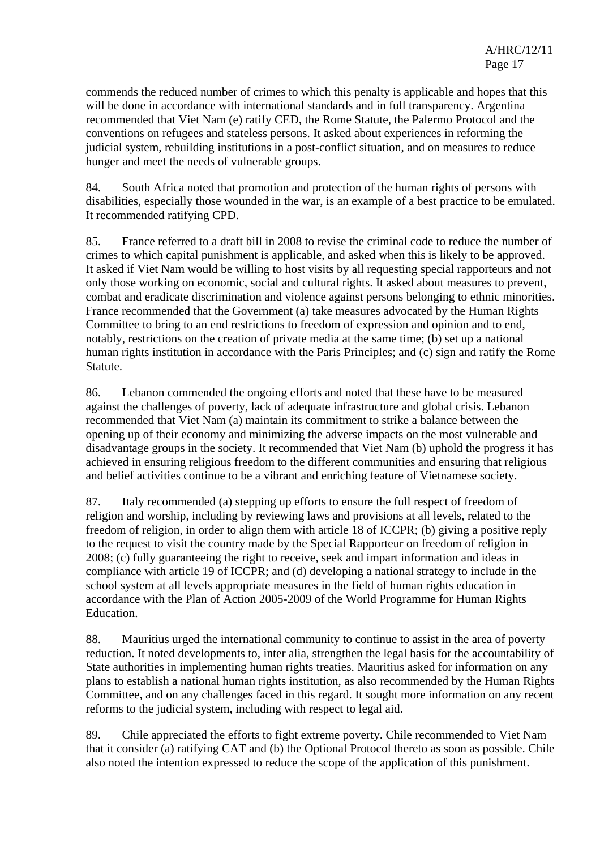commends the reduced number of crimes to which this penalty is applicable and hopes that this will be done in accordance with international standards and in full transparency. Argentina recommended that Viet Nam (e) ratify CED, the Rome Statute, the Palermo Protocol and the conventions on refugees and stateless persons. It asked about experiences in reforming the judicial system, rebuilding institutions in a post-conflict situation, and on measures to reduce hunger and meet the needs of vulnerable groups.

84. South Africa noted that promotion and protection of the human rights of persons with disabilities, especially those wounded in the war, is an example of a best practice to be emulated. It recommended ratifying CPD.

85. France referred to a draft bill in 2008 to revise the criminal code to reduce the number of crimes to which capital punishment is applicable, and asked when this is likely to be approved. It asked if Viet Nam would be willing to host visits by all requesting special rapporteurs and not only those working on economic, social and cultural rights. It asked about measures to prevent, combat and eradicate discrimination and violence against persons belonging to ethnic minorities. France recommended that the Government (a) take measures advocated by the Human Rights Committee to bring to an end restrictions to freedom of expression and opinion and to end, notably, restrictions on the creation of private media at the same time; (b) set up a national human rights institution in accordance with the Paris Principles; and (c) sign and ratify the Rome Statute.

86. Lebanon commended the ongoing efforts and noted that these have to be measured against the challenges of poverty, lack of adequate infrastructure and global crisis. Lebanon recommended that Viet Nam (a) maintain its commitment to strike a balance between the opening up of their economy and minimizing the adverse impacts on the most vulnerable and disadvantage groups in the society. It recommended that Viet Nam (b) uphold the progress it has achieved in ensuring religious freedom to the different communities and ensuring that religious and belief activities continue to be a vibrant and enriching feature of Vietnamese society.

87. Italy recommended (a) stepping up efforts to ensure the full respect of freedom of religion and worship, including by reviewing laws and provisions at all levels, related to the freedom of religion, in order to align them with article 18 of ICCPR; (b) giving a positive reply to the request to visit the country made by the Special Rapporteur on freedom of religion in 2008; (c) fully guaranteeing the right to receive, seek and impart information and ideas in compliance with article 19 of ICCPR; and (d) developing a national strategy to include in the school system at all levels appropriate measures in the field of human rights education in accordance with the Plan of Action 2005-2009 of the World Programme for Human Rights Education.

88. Mauritius urged the international community to continue to assist in the area of poverty reduction. It noted developments to, inter alia, strengthen the legal basis for the accountability of State authorities in implementing human rights treaties. Mauritius asked for information on any plans to establish a national human rights institution, as also recommended by the Human Rights Committee, and on any challenges faced in this regard. It sought more information on any recent reforms to the judicial system, including with respect to legal aid.

89. Chile appreciated the efforts to fight extreme poverty. Chile recommended to Viet Nam that it consider (a) ratifying CAT and (b) the Optional Protocol thereto as soon as possible. Chile also noted the intention expressed to reduce the scope of the application of this punishment.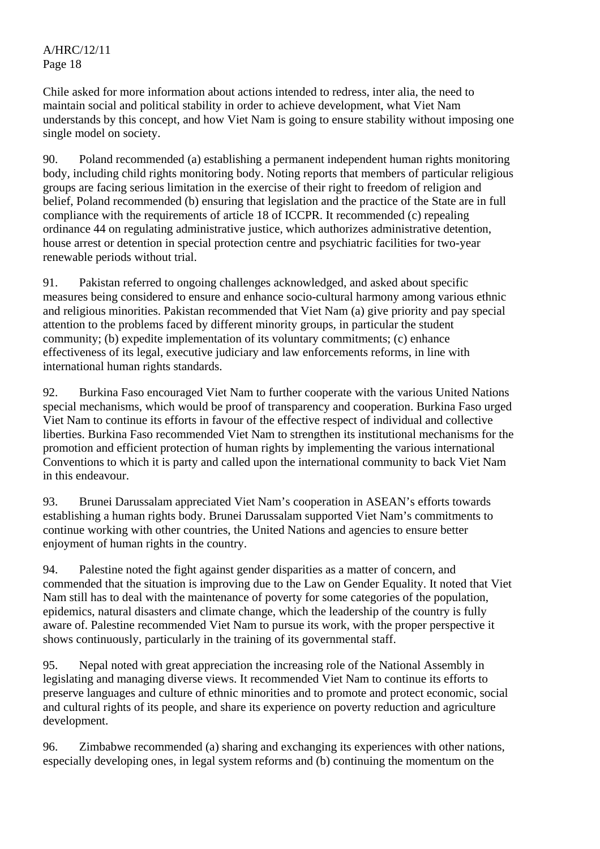Chile asked for more information about actions intended to redress, inter alia, the need to maintain social and political stability in order to achieve development, what Viet Nam understands by this concept, and how Viet Nam is going to ensure stability without imposing one single model on society.

90. Poland recommended (a) establishing a permanent independent human rights monitoring body, including child rights monitoring body. Noting reports that members of particular religious groups are facing serious limitation in the exercise of their right to freedom of religion and belief, Poland recommended (b) ensuring that legislation and the practice of the State are in full compliance with the requirements of article 18 of ICCPR. It recommended (c) repealing ordinance 44 on regulating administrative justice, which authorizes administrative detention, house arrest or detention in special protection centre and psychiatric facilities for two-year renewable periods without trial.

91. Pakistan referred to ongoing challenges acknowledged, and asked about specific measures being considered to ensure and enhance socio-cultural harmony among various ethnic and religious minorities. Pakistan recommended that Viet Nam (a) give priority and pay special attention to the problems faced by different minority groups, in particular the student community; (b) expedite implementation of its voluntary commitments; (c) enhance effectiveness of its legal, executive judiciary and law enforcements reforms, in line with international human rights standards.

92. Burkina Faso encouraged Viet Nam to further cooperate with the various United Nations special mechanisms, which would be proof of transparency and cooperation. Burkina Faso urged Viet Nam to continue its efforts in favour of the effective respect of individual and collective liberties. Burkina Faso recommended Viet Nam to strengthen its institutional mechanisms for the promotion and efficient protection of human rights by implementing the various international Conventions to which it is party and called upon the international community to back Viet Nam in this endeavour.

93. Brunei Darussalam appreciated Viet Nam's cooperation in ASEAN's efforts towards establishing a human rights body. Brunei Darussalam supported Viet Nam's commitments to continue working with other countries, the United Nations and agencies to ensure better enjoyment of human rights in the country.

94. Palestine noted the fight against gender disparities as a matter of concern, and commended that the situation is improving due to the Law on Gender Equality. It noted that Viet Nam still has to deal with the maintenance of poverty for some categories of the population, epidemics, natural disasters and climate change, which the leadership of the country is fully aware of. Palestine recommended Viet Nam to pursue its work, with the proper perspective it shows continuously, particularly in the training of its governmental staff.

95. Nepal noted with great appreciation the increasing role of the National Assembly in legislating and managing diverse views. It recommended Viet Nam to continue its efforts to preserve languages and culture of ethnic minorities and to promote and protect economic, social and cultural rights of its people, and share its experience on poverty reduction and agriculture development.

96. Zimbabwe recommended (a) sharing and exchanging its experiences with other nations, especially developing ones, in legal system reforms and (b) continuing the momentum on the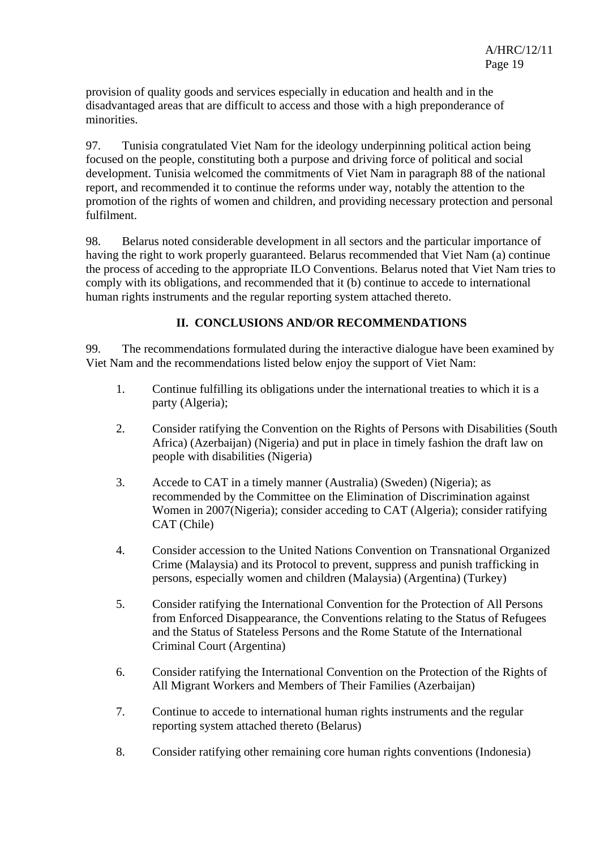provision of quality goods and services especially in education and health and in the disadvantaged areas that are difficult to access and those with a high preponderance of minorities.

97. Tunisia congratulated Viet Nam for the ideology underpinning political action being focused on the people, constituting both a purpose and driving force of political and social development. Tunisia welcomed the commitments of Viet Nam in paragraph 88 of the national report, and recommended it to continue the reforms under way, notably the attention to the promotion of the rights of women and children, and providing necessary protection and personal fulfilment.

98. Belarus noted considerable development in all sectors and the particular importance of having the right to work properly guaranteed. Belarus recommended that Viet Nam (a) continue the process of acceding to the appropriate ILO Conventions. Belarus noted that Viet Nam tries to comply with its obligations, and recommended that it (b) continue to accede to international human rights instruments and the regular reporting system attached thereto.

## **II. CONCLUSIONS AND/OR RECOMMENDATIONS**

99. The recommendations formulated during the interactive dialogue have been examined by Viet Nam and the recommendations listed below enjoy the support of Viet Nam:

- 1. Continue fulfilling its obligations under the international treaties to which it is a party (Algeria);
- 2. Consider ratifying the Convention on the Rights of Persons with Disabilities (South Africa) (Azerbaijan) (Nigeria) and put in place in timely fashion the draft law on people with disabilities (Nigeria)
- 3. Accede to CAT in a timely manner (Australia) (Sweden) (Nigeria); as recommended by the Committee on the Elimination of Discrimination against Women in 2007(Nigeria); consider acceding to CAT (Algeria); consider ratifying CAT (Chile)
- 4. Consider accession to the United Nations Convention on Transnational Organized Crime (Malaysia) and its Protocol to prevent, suppress and punish trafficking in persons, especially women and children (Malaysia) (Argentina) (Turkey)
- 5. Consider ratifying the International Convention for the Protection of All Persons from Enforced Disappearance, the Conventions relating to the Status of Refugees and the Status of Stateless Persons and the Rome Statute of the International Criminal Court (Argentina)
- 6. Consider ratifying the International Convention on the Protection of the Rights of All Migrant Workers and Members of Their Families (Azerbaijan)
- 7. Continue to accede to international human rights instruments and the regular reporting system attached thereto (Belarus)
- 8. Consider ratifying other remaining core human rights conventions (Indonesia)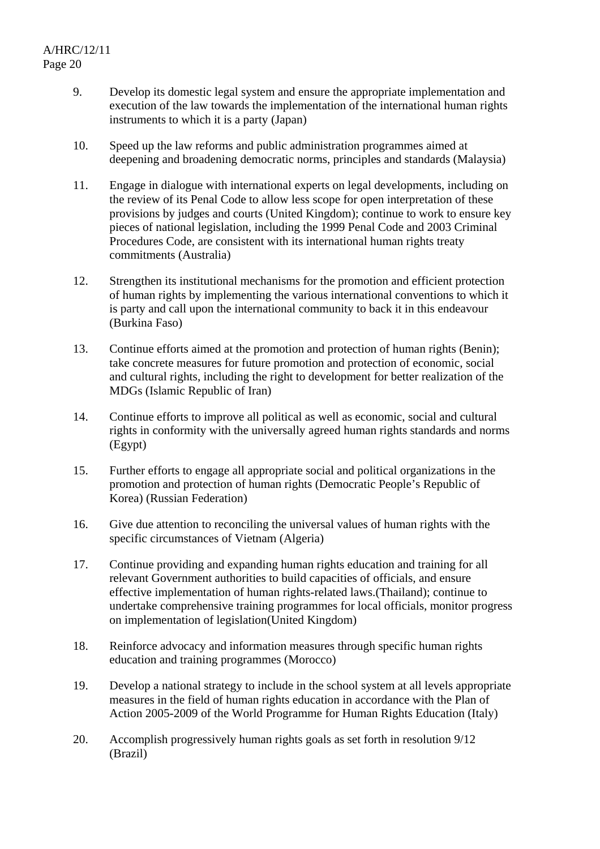- 9. Develop its domestic legal system and ensure the appropriate implementation and execution of the law towards the implementation of the international human rights instruments to which it is a party (Japan)
- 10. Speed up the law reforms and public administration programmes aimed at deepening and broadening democratic norms, principles and standards (Malaysia)
- 11. Engage in dialogue with international experts on legal developments, including on the review of its Penal Code to allow less scope for open interpretation of these provisions by judges and courts (United Kingdom); continue to work to ensure key pieces of national legislation, including the 1999 Penal Code and 2003 Criminal Procedures Code, are consistent with its international human rights treaty commitments (Australia)
- 12. Strengthen its institutional mechanisms for the promotion and efficient protection of human rights by implementing the various international conventions to which it is party and call upon the international community to back it in this endeavour (Burkina Faso)
- 13. Continue efforts aimed at the promotion and protection of human rights (Benin); take concrete measures for future promotion and protection of economic, social and cultural rights, including the right to development for better realization of the MDGs (Islamic Republic of Iran)
- 14. Continue efforts to improve all political as well as economic, social and cultural rights in conformity with the universally agreed human rights standards and norms (Egypt)
- 15. Further efforts to engage all appropriate social and political organizations in the promotion and protection of human rights (Democratic People's Republic of Korea) (Russian Federation)
- 16. Give due attention to reconciling the universal values of human rights with the specific circumstances of Vietnam (Algeria)
- 17. Continue providing and expanding human rights education and training for all relevant Government authorities to build capacities of officials, and ensure effective implementation of human rights-related laws.(Thailand); continue to undertake comprehensive training programmes for local officials, monitor progress on implementation of legislation(United Kingdom)
- 18. Reinforce advocacy and information measures through specific human rights education and training programmes (Morocco)
- 19. Develop a national strategy to include in the school system at all levels appropriate measures in the field of human rights education in accordance with the Plan of Action 2005-2009 of the World Programme for Human Rights Education (Italy)
- 20. Accomplish progressively human rights goals as set forth in resolution 9/12 (Brazil)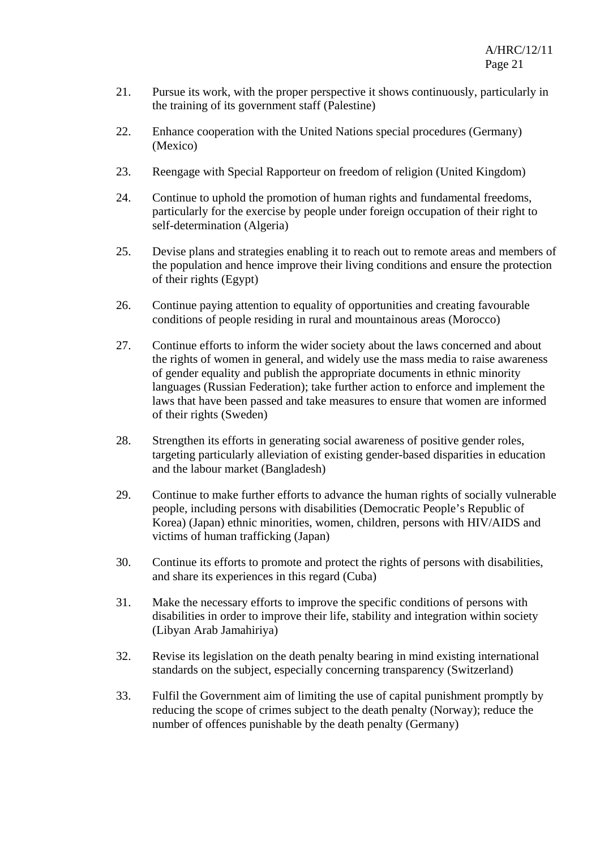- 21. Pursue its work, with the proper perspective it shows continuously, particularly in the training of its government staff (Palestine)
- 22. Enhance cooperation with the United Nations special procedures (Germany) (Mexico)
- 23. Reengage with Special Rapporteur on freedom of religion (United Kingdom)
- 24. Continue to uphold the promotion of human rights and fundamental freedoms, particularly for the exercise by people under foreign occupation of their right to self-determination (Algeria)
- 25. Devise plans and strategies enabling it to reach out to remote areas and members of the population and hence improve their living conditions and ensure the protection of their rights (Egypt)
- 26. Continue paying attention to equality of opportunities and creating favourable conditions of people residing in rural and mountainous areas (Morocco)
- 27. Continue efforts to inform the wider society about the laws concerned and about the rights of women in general, and widely use the mass media to raise awareness of gender equality and publish the appropriate documents in ethnic minority languages (Russian Federation); take further action to enforce and implement the laws that have been passed and take measures to ensure that women are informed of their rights (Sweden)
- 28. Strengthen its efforts in generating social awareness of positive gender roles, targeting particularly alleviation of existing gender-based disparities in education and the labour market (Bangladesh)
- 29. Continue to make further efforts to advance the human rights of socially vulnerable people, including persons with disabilities (Democratic People's Republic of Korea) (Japan) ethnic minorities, women, children, persons with HIV/AIDS and victims of human trafficking (Japan)
- 30. Continue its efforts to promote and protect the rights of persons with disabilities, and share its experiences in this regard (Cuba)
- 31. Make the necessary efforts to improve the specific conditions of persons with disabilities in order to improve their life, stability and integration within society (Libyan Arab Jamahiriya)
- 32. Revise its legislation on the death penalty bearing in mind existing international standards on the subject, especially concerning transparency (Switzerland)
- 33. Fulfil the Government aim of limiting the use of capital punishment promptly by reducing the scope of crimes subject to the death penalty (Norway); reduce the number of offences punishable by the death penalty (Germany)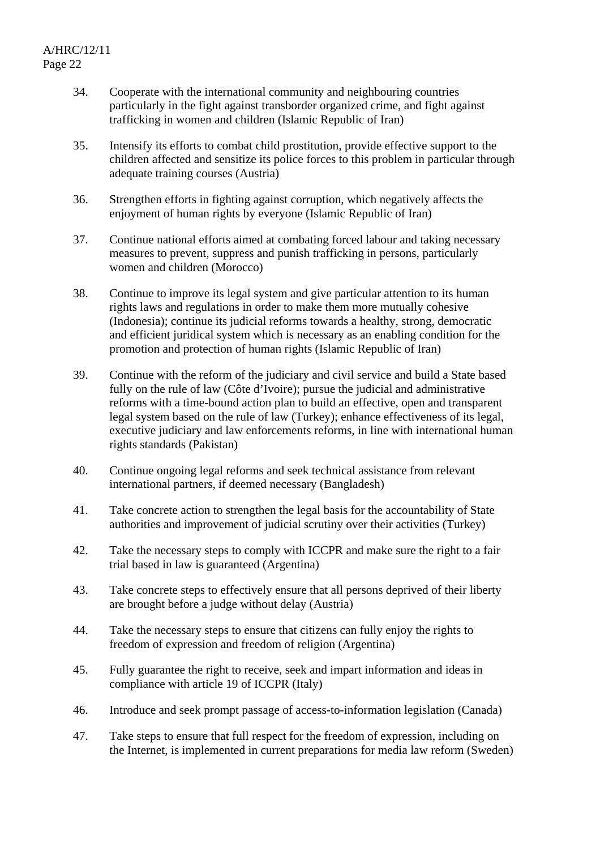- 34. Cooperate with the international community and neighbouring countries particularly in the fight against transborder organized crime, and fight against trafficking in women and children (Islamic Republic of Iran)
- 35. Intensify its efforts to combat child prostitution, provide effective support to the children affected and sensitize its police forces to this problem in particular through adequate training courses (Austria)
- 36. Strengthen efforts in fighting against corruption, which negatively affects the enjoyment of human rights by everyone (Islamic Republic of Iran)
- 37. Continue national efforts aimed at combating forced labour and taking necessary measures to prevent, suppress and punish trafficking in persons, particularly women and children (Morocco)
- 38. Continue to improve its legal system and give particular attention to its human rights laws and regulations in order to make them more mutually cohesive (Indonesia); continue its judicial reforms towards a healthy, strong, democratic and efficient juridical system which is necessary as an enabling condition for the promotion and protection of human rights (Islamic Republic of Iran)
- 39. Continue with the reform of the judiciary and civil service and build a State based fully on the rule of law (Côte d'Ivoire); pursue the judicial and administrative reforms with a time-bound action plan to build an effective, open and transparent legal system based on the rule of law (Turkey); enhance effectiveness of its legal, executive judiciary and law enforcements reforms, in line with international human rights standards (Pakistan)
- 40. Continue ongoing legal reforms and seek technical assistance from relevant international partners, if deemed necessary (Bangladesh)
- 41. Take concrete action to strengthen the legal basis for the accountability of State authorities and improvement of judicial scrutiny over their activities (Turkey)
- 42. Take the necessary steps to comply with ICCPR and make sure the right to a fair trial based in law is guaranteed (Argentina)
- 43. Take concrete steps to effectively ensure that all persons deprived of their liberty are brought before a judge without delay (Austria)
- 44. Take the necessary steps to ensure that citizens can fully enjoy the rights to freedom of expression and freedom of religion (Argentina)
- 45. Fully guarantee the right to receive, seek and impart information and ideas in compliance with article 19 of ICCPR (Italy)
- 46. Introduce and seek prompt passage of access-to-information legislation (Canada)
- 47. Take steps to ensure that full respect for the freedom of expression, including on the Internet, is implemented in current preparations for media law reform (Sweden)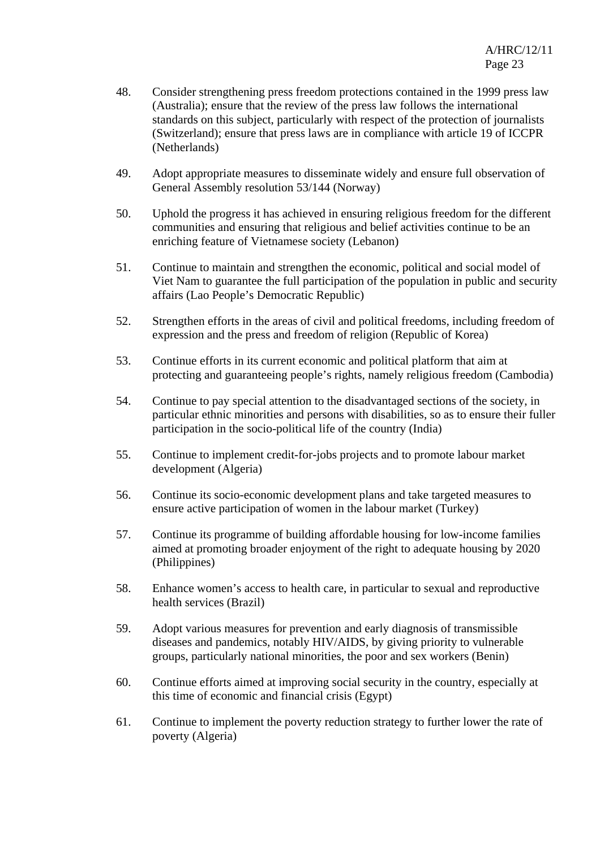- 48. Consider strengthening press freedom protections contained in the 1999 press law (Australia); ensure that the review of the press law follows the international standards on this subject, particularly with respect of the protection of journalists (Switzerland); ensure that press laws are in compliance with article 19 of ICCPR (Netherlands)
- 49. Adopt appropriate measures to disseminate widely and ensure full observation of General Assembly resolution 53/144 (Norway)
- 50. Uphold the progress it has achieved in ensuring religious freedom for the different communities and ensuring that religious and belief activities continue to be an enriching feature of Vietnamese society (Lebanon)
- 51. Continue to maintain and strengthen the economic, political and social model of Viet Nam to guarantee the full participation of the population in public and security affairs (Lao People's Democratic Republic)
- 52. Strengthen efforts in the areas of civil and political freedoms, including freedom of expression and the press and freedom of religion (Republic of Korea)
- 53. Continue efforts in its current economic and political platform that aim at protecting and guaranteeing people's rights, namely religious freedom (Cambodia)
- 54. Continue to pay special attention to the disadvantaged sections of the society, in particular ethnic minorities and persons with disabilities, so as to ensure their fuller participation in the socio-political life of the country (India)
- 55. Continue to implement credit-for-jobs projects and to promote labour market development (Algeria)
- 56. Continue its socio-economic development plans and take targeted measures to ensure active participation of women in the labour market (Turkey)
- 57. Continue its programme of building affordable housing for low-income families aimed at promoting broader enjoyment of the right to adequate housing by 2020 (Philippines)
- 58. Enhance women's access to health care, in particular to sexual and reproductive health services (Brazil)
- 59. Adopt various measures for prevention and early diagnosis of transmissible diseases and pandemics, notably HIV/AIDS, by giving priority to vulnerable groups, particularly national minorities, the poor and sex workers (Benin)
- 60. Continue efforts aimed at improving social security in the country, especially at this time of economic and financial crisis (Egypt)
- 61. Continue to implement the poverty reduction strategy to further lower the rate of poverty (Algeria)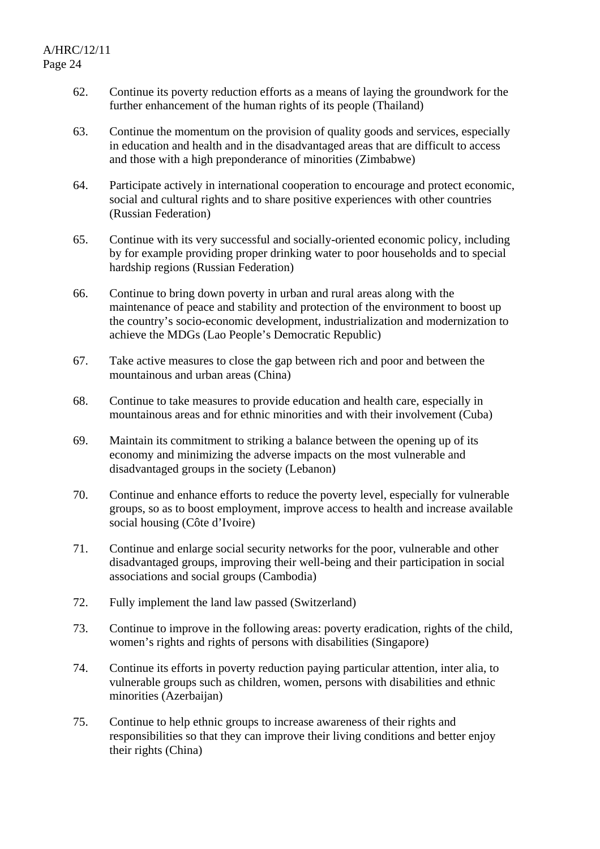- 62. Continue its poverty reduction efforts as a means of laying the groundwork for the further enhancement of the human rights of its people (Thailand)
- 63. Continue the momentum on the provision of quality goods and services, especially in education and health and in the disadvantaged areas that are difficult to access and those with a high preponderance of minorities (Zimbabwe)
- 64. Participate actively in international cooperation to encourage and protect economic, social and cultural rights and to share positive experiences with other countries (Russian Federation)
- 65. Continue with its very successful and socially-oriented economic policy, including by for example providing proper drinking water to poor households and to special hardship regions (Russian Federation)
- 66. Continue to bring down poverty in urban and rural areas along with the maintenance of peace and stability and protection of the environment to boost up the country's socio-economic development, industrialization and modernization to achieve the MDGs (Lao People's Democratic Republic)
- 67. Take active measures to close the gap between rich and poor and between the mountainous and urban areas (China)
- 68. Continue to take measures to provide education and health care, especially in mountainous areas and for ethnic minorities and with their involvement (Cuba)
- 69. Maintain its commitment to striking a balance between the opening up of its economy and minimizing the adverse impacts on the most vulnerable and disadvantaged groups in the society (Lebanon)
- 70. Continue and enhance efforts to reduce the poverty level, especially for vulnerable groups, so as to boost employment, improve access to health and increase available social housing (Côte d'Ivoire)
- 71. Continue and enlarge social security networks for the poor, vulnerable and other disadvantaged groups, improving their well-being and their participation in social associations and social groups (Cambodia)
- 72. Fully implement the land law passed (Switzerland)
- 73. Continue to improve in the following areas: poverty eradication, rights of the child, women's rights and rights of persons with disabilities (Singapore)
- 74. Continue its efforts in poverty reduction paying particular attention, inter alia, to vulnerable groups such as children, women, persons with disabilities and ethnic minorities (Azerbaijan)
- 75. Continue to help ethnic groups to increase awareness of their rights and responsibilities so that they can improve their living conditions and better enjoy their rights (China)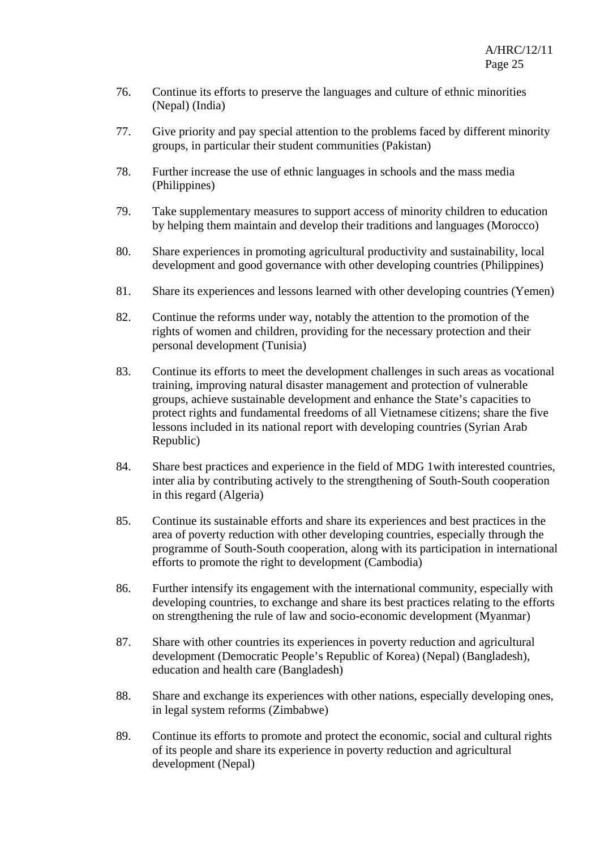- 76. Continue its efforts to preserve the languages and culture of ethnic minorities (Nepal) (India)
- 77. Give priority and pay special attention to the problems faced by different minority groups, in particular their student communities (Pakistan)
- 78. Further increase the use of ethnic languages in schools and the mass media (Philippines)
- 79. Take supplementary measures to support access of minority children to education by helping them maintain and develop their traditions and languages (Morocco)
- 80. Share experiences in promoting agricultural productivity and sustainability, local development and good governance with other developing countries (Philippines)
- 81. Share its experiences and lessons learned with other developing countries (Yemen)
- 82. Continue the reforms under way, notably the attention to the promotion of the rights of women and children, providing for the necessary protection and their personal development (Tunisia)
- 83. Continue its efforts to meet the development challenges in such areas as vocational training, improving natural disaster management and protection of vulnerable groups, achieve sustainable development and enhance the State's capacities to protect rights and fundamental freedoms of all Vietnamese citizens; share the five lessons included in its national report with developing countries (Syrian Arab Republic)
- 84. Share best practices and experience in the field of MDG 1with interested countries, inter alia by contributing actively to the strengthening of South-South cooperation in this regard (Algeria)
- 85. Continue its sustainable efforts and share its experiences and best practices in the area of poverty reduction with other developing countries, especially through the programme of South-South cooperation, along with its participation in international efforts to promote the right to development (Cambodia)
- 86. Further intensify its engagement with the international community, especially with developing countries, to exchange and share its best practices relating to the efforts on strengthening the rule of law and socio-economic development (Myanmar)
- 87. Share with other countries its experiences in poverty reduction and agricultural development (Democratic People's Republic of Korea) (Nepal) (Bangladesh), education and health care (Bangladesh)
- 88. Share and exchange its experiences with other nations, especially developing ones, in legal system reforms (Zimbabwe)
- 89. Continue its efforts to promote and protect the economic, social and cultural rights of its people and share its experience in poverty reduction and agricultural development (Nepal)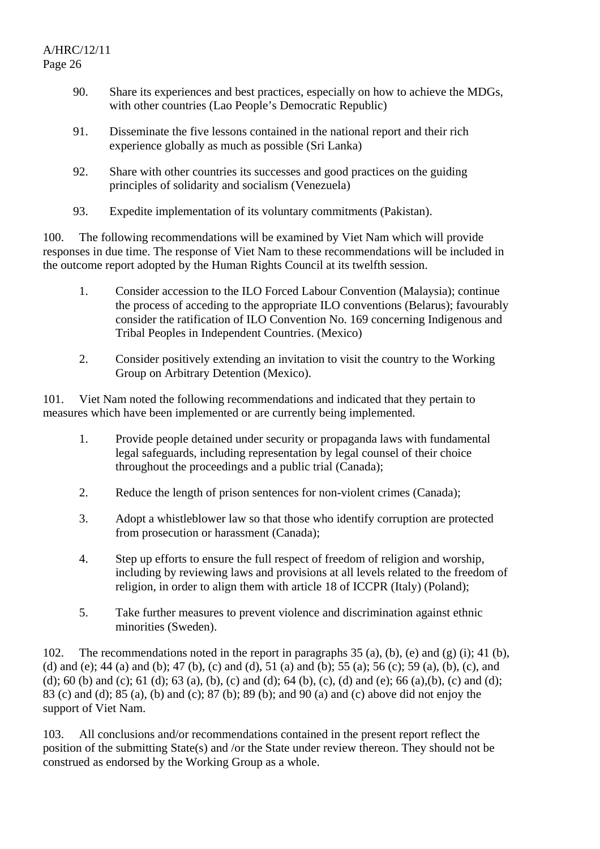- 90. Share its experiences and best practices, especially on how to achieve the MDGs, with other countries (Lao People's Democratic Republic)
- 91. Disseminate the five lessons contained in the national report and their rich experience globally as much as possible (Sri Lanka)
- 92. Share with other countries its successes and good practices on the guiding principles of solidarity and socialism (Venezuela)
- 93. Expedite implementation of its voluntary commitments (Pakistan).

100. The following recommendations will be examined by Viet Nam which will provide responses in due time. The response of Viet Nam to these recommendations will be included in the outcome report adopted by the Human Rights Council at its twelfth session.

- 1. Consider accession to the ILO Forced Labour Convention (Malaysia); continue the process of acceding to the appropriate ILO conventions (Belarus); favourably consider the ratification of ILO Convention No. 169 concerning Indigenous and Tribal Peoples in Independent Countries. (Mexico)
- 2. Consider positively extending an invitation to visit the country to the Working Group on Arbitrary Detention (Mexico).

101. Viet Nam noted the following recommendations and indicated that they pertain to measures which have been implemented or are currently being implemented.

- 1. Provide people detained under security or propaganda laws with fundamental legal safeguards, including representation by legal counsel of their choice throughout the proceedings and a public trial (Canada);
- 2. Reduce the length of prison sentences for non-violent crimes (Canada);
- 3. Adopt a whistleblower law so that those who identify corruption are protected from prosecution or harassment (Canada);
- 4. Step up efforts to ensure the full respect of freedom of religion and worship, including by reviewing laws and provisions at all levels related to the freedom of religion, in order to align them with article 18 of ICCPR (Italy) (Poland);
- 5. Take further measures to prevent violence and discrimination against ethnic minorities (Sweden).

102. The recommendations noted in the report in paragraphs 35 (a), (b), (e) and (g) (i); 41 (b), (d) and (e); 44 (a) and (b); 47 (b), (c) and (d), 51 (a) and (b); 55 (a); 56 (c); 59 (a), (b), (c), and (d); 60 (b) and (c); 61 (d); 63 (a), (b), (c) and (d); 64 (b), (c), (d) and (e); 66 (a),(b), (c) and (d); 83 (c) and (d); 85 (a), (b) and (c); 87 (b); 89 (b); and 90 (a) and (c) above did not enjoy the support of Viet Nam.

103. All conclusions and/or recommendations contained in the present report reflect the position of the submitting State(s) and /or the State under review thereon. They should not be construed as endorsed by the Working Group as a whole.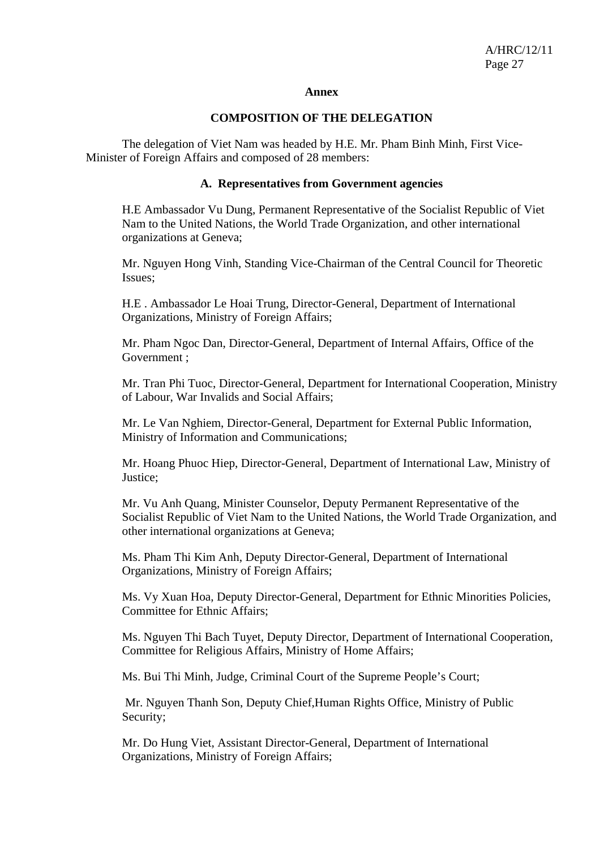#### **Annex**

#### **COMPOSITION OF THE DELEGATION**

 The delegation of Viet Nam was headed by H.E. Mr. Pham Binh Minh, First Vice-Minister of Foreign Affairs and composed of 28 members:

#### **A. Representatives from Government agencies**

H.E Ambassador Vu Dung, Permanent Representative of the Socialist Republic of Viet Nam to the United Nations, the World Trade Organization, and other international organizations at Geneva;

Mr. Nguyen Hong Vinh, Standing Vice-Chairman of the Central Council for Theoretic Issues;

H.E . Ambassador Le Hoai Trung, Director-General, Department of International Organizations, Ministry of Foreign Affairs;

Mr. Pham Ngoc Dan, Director-General, Department of Internal Affairs, Office of the Government ;

Mr. Tran Phi Tuoc, Director-General, Department for International Cooperation, Ministry of Labour, War Invalids and Social Affairs;

Mr. Le Van Nghiem, Director-General, Department for External Public Information, Ministry of Information and Communications;

Mr. Hoang Phuoc Hiep, Director-General, Department of International Law, Ministry of Justice;

Mr. Vu Anh Quang, Minister Counselor, Deputy Permanent Representative of the Socialist Republic of Viet Nam to the United Nations, the World Trade Organization, and other international organizations at Geneva;

Ms. Pham Thi Kim Anh, Deputy Director-General, Department of International Organizations, Ministry of Foreign Affairs;

Ms. Vy Xuan Hoa, Deputy Director-General, Department for Ethnic Minorities Policies, Committee for Ethnic Affairs;

Ms. Nguyen Thi Bach Tuyet, Deputy Director, Department of International Cooperation, Committee for Religious Affairs, Ministry of Home Affairs;

Ms. Bui Thi Minh, Judge, Criminal Court of the Supreme People's Court;

 Mr. Nguyen Thanh Son, Deputy Chief,Human Rights Office, Ministry of Public Security;

Mr. Do Hung Viet, Assistant Director-General, Department of International Organizations, Ministry of Foreign Affairs;